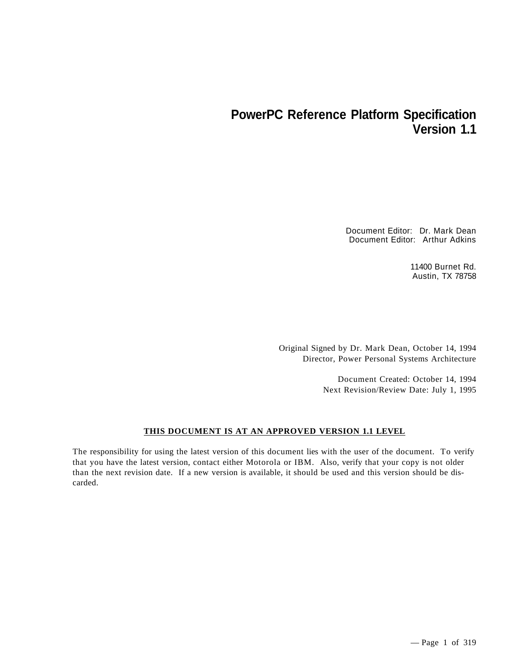# **PowerPC Reference Platform Specification Version 1.1**

Document Editor: Dr. Mark Dean Document Editor: Arthur Adkins

> 11400 Burnet Rd. Austin, TX 78758

Original Signed by Dr. Mark Dean, October 14, 1994 Director, Power Personal Systems Architecture

> Document Created: October 14, 1994 Next Revision/Review Date: July 1, 1995

#### **THIS DOCUMENT IS AT AN APPROVED VERSION 1.1 LEVEL**

The responsibility for using the latest version of this document lies with the user of the document. To verify that you have the latest version, contact either Motorola or IBM. Also, verify that your copy is not older than the next revision date. If a new version is available, it should be used and this version should be discarded.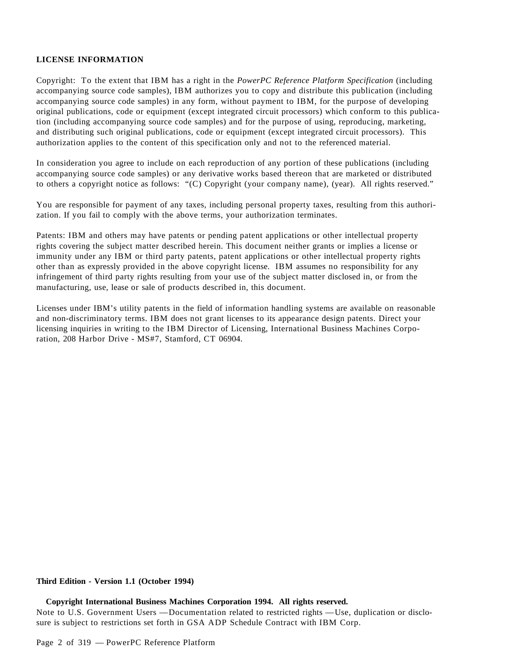#### **LICENSE INFORMATION**

Copyright: To the extent that IBM has a right in the *PowerPC Reference Platform Specification* (including accompanying source code samples), IBM authorizes you to copy and distribute this publication (including accompanying source code samples) in any form, without payment to IBM, for the purpose of developing original publications, code or equipment (except integrated circuit processors) which conform to this publication (including accompanying source code samples) and for the purpose of using, reproducing, marketing, and distributing such original publications, code or equipment (except integrated circuit processors). This authorization applies to the content of this specification only and not to the referenced material.

In consideration you agree to include on each reproduction of any portion of these publications (including accompanying source code samples) or any derivative works based thereon that are marketed or distributed to others a copyright notice as follows: "(C) Copyright (your company name), (year). All rights reserved."

You are responsible for payment of any taxes, including personal property taxes, resulting from this authorization. If you fail to comply with the above terms, your authorization terminates.

Patents: IBM and others may have patents or pending patent applications or other intellectual property rights covering the subject matter described herein. This document neither grants or implies a license or immunity under any IBM or third party patents, patent applications or other intellectual property rights other than as expressly provided in the above copyright license. IBM assumes no responsibility for any infringement of third party rights resulting from your use of the subject matter disclosed in, or from the manufacturing, use, lease or sale of products described in, this document.

Licenses under IBM's utility patents in the field of information handling systems are available on reasonable and non-discriminatory terms. IBM does not grant licenses to its appearance design patents. Direct your licensing inquiries in writing to the IBM Director of Licensing, International Business Machines Corporation, 208 Harbor Drive - MS#7, Stamford, CT 06904.

#### **Third Edition - Version 1.1 (October 1994)**

 **Copyright International Business Machines Corporation 1994. All rights reserved.** Note to U.S. Government Users —Documentation related to restricted rights —Use, duplication or disclosure is subject to restrictions set forth in GSA ADP Schedule Contract with IBM Corp.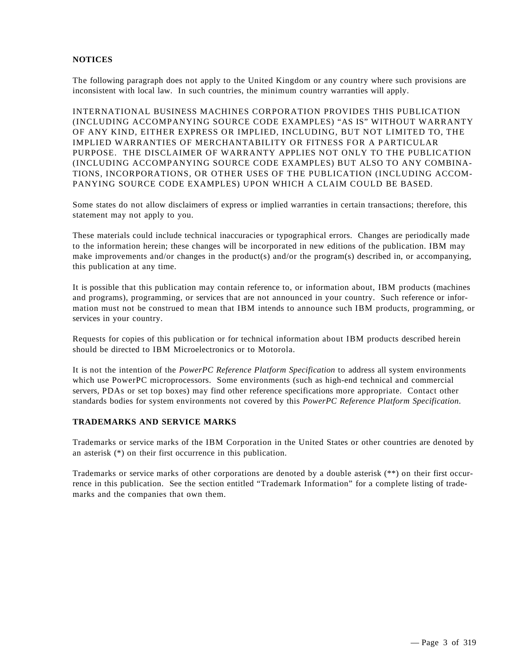#### **NOTICES**

The following paragraph does not apply to the United Kingdom or any country where such provisions are inconsistent with local law. In such countries, the minimum country warranties will apply.

INTERNATIONAL BUSINESS MACHINES CORPORATION PROVIDES THIS PUBLICATION (INCLUDING ACCOMPANYING SOURCE CODE EXAMPLES) "AS IS" WITHOUT WARRANTY OF ANY KIND, EITHER EXPRESS OR IMPLIED, INCLUDING, BUT NOT LIMITED TO, THE IMPLIED WARRANTIES OF MERCHANTABILITY OR FITNESS FOR A PARTICULAR PURPOSE. THE DISCLAIMER OF WARRANTY APPLIES NOT ONLY TO THE PUBLICATION (INCLUDING ACCOMPANYING SOURCE CODE EXAMPLES) BUT ALSO TO ANY COMBINA-TIONS, INCORPORATIONS, OR OTHER USES OF THE PUBLICATION (INCLUDING ACCOM-PANYING SOURCE CODE EXAMPLES) UPON WHICH A CLAIM COULD BE BASED.

Some states do not allow disclaimers of express or implied warranties in certain transactions; therefore, this statement may not apply to you.

These materials could include technical inaccuracies or typographical errors. Changes are periodically made to the information herein; these changes will be incorporated in new editions of the publication. IBM may make improvements and/or changes in the product(s) and/or the program(s) described in, or accompanying, this publication at any time.

It is possible that this publication may contain reference to, or information about, IBM products (machines and programs), programming, or services that are not announced in your country. Such reference or information must not be construed to mean that IBM intends to announce such IBM products, programming, or services in your country.

Requests for copies of this publication or for technical information about IBM products described herein should be directed to IBM Microelectronics or to Motorola.

It is not the intention of the *PowerPC Reference Platform Specification* to address all system environments which use PowerPC microprocessors. Some environments (such as high-end technical and commercial servers, PDAs or set top boxes) may find other reference specifications more appropriate. Contact other standards bodies for system environments not covered by this *PowerPC Reference Platform Specification*.

#### **TRADEMARKS AND SERVICE MARKS**

Trademarks or service marks of the IBM Corporation in the United States or other countries are denoted by an asterisk (\*) on their first occurrence in this publication.

Trademarks or service marks of other corporations are denoted by a double asterisk (\*\*) on their first occurrence in this publication. See the section entitled "Trademark Information" for a complete listing of trademarks and the companies that own them.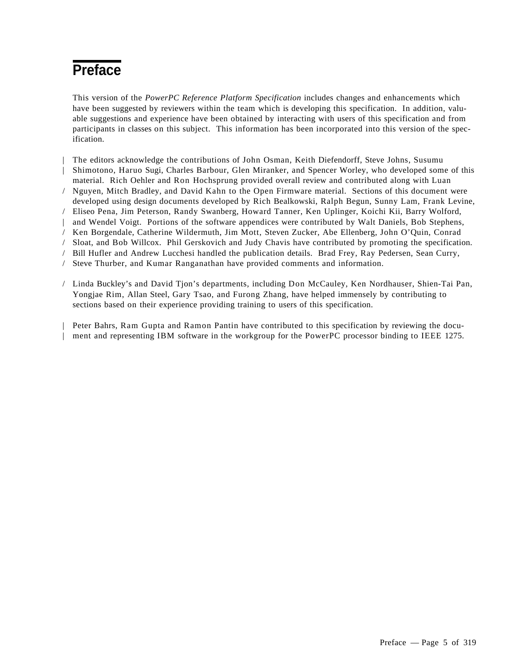# **Preface**

This version of the *PowerPC Reference Platform Specification* includes changes and enhancements which have been suggested by reviewers within the team which is developing this specification. In addition, valuable suggestions and experience have been obtained by interacting with users of this specification and from participants in classes on this subject. This information has been incorporated into this version of the specification.

| The editors acknowledge the contributions of John Osman, Keith Diefendorff, Steve Johns, Susumu | Shimotono, Haruo Sugi, Charles Barbour, Glen Miranker, and Spencer Worley, who developed some of this material. Rich Oehler and Ron Hochsprung provided overall review and contributed along with Luan / Nguyen, Mitch Bradley, and David Kahn to the Open Firmware material. Sections of this document were developed using design documents developed by Rich Bealkowski, Ralph Begun, Sunny Lam, Frank Levine, / Eliseo Pena, Jim Peterson, Randy Swanberg, Howard Tanner, Ken Uplinger, Koichi Kii, Barry Wolford, | and Wendel Voigt. Portions of the software appendices were contributed by Walt Daniels, Bob Stephens, / Ken Borgendale, Catherine Wildermuth, Jim Mott, Steven Zucker, Abe Ellenberg, John O'Quin, Conrad / Sloat, and Bob Willcox. Phil Gerskovich and Judy Chavis have contributed by promoting the specification. / Bill Hufler and Andrew Lucchesi handled the publication details. Brad Frey, Ray Pedersen, Sean Curry, / Steve Thurber, and Kumar Ranganathan have provided comments and information.

/ Linda Buckley's and David Tjon's departments, including Don McCauley, Ken Nordhauser, Shien-Tai Pan, Yongjae Rim, Allan Steel, Gary Tsao, and Furong Zhang, have helped immensely by contributing to sections based on their experience providing training to users of this specification.

| Peter Bahrs, Ram Gupta and Ramon Pantin have contributed to this specification by reviewing the docu- | ment and representing IBM software in the workgroup for the PowerPC processor binding to IEEE 1275.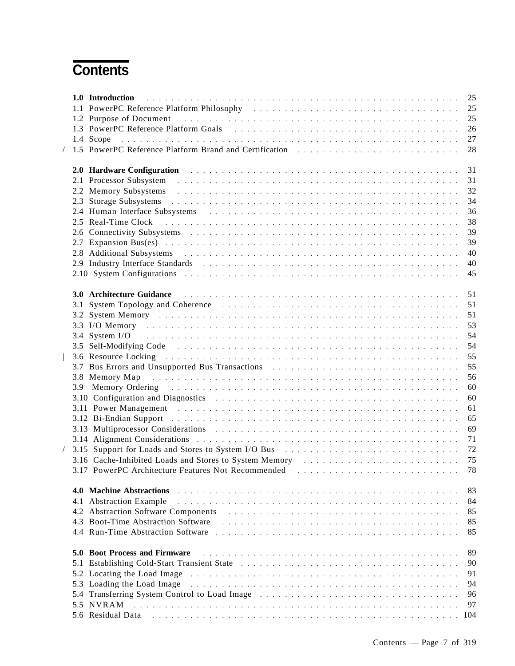# **Contents**

|     |                                                                                                                                                                                                                                    | 25  |
|-----|------------------------------------------------------------------------------------------------------------------------------------------------------------------------------------------------------------------------------------|-----|
|     | 1.1 PowerPC Reference Platform Philosophy (and all also contained a serie contained a serie Reference Platform Philosophy                                                                                                          | 25  |
|     | 1.2 Purpose of Document entertainment and the contract of the contract of the contract of the contract of the contract of the contract of the contract of the contract of the contract of the contract of the contract of the      | 25  |
|     | 1.3 PowerPC Reference Platform Goals enterstated and the set of the contract of the contract of the contract of the contract of the contract of the contract of the contract of the contract of the contract of the contract o     | 26  |
|     | 1.4 Scope                                                                                                                                                                                                                          | 27  |
|     | 1.5 PowerPC Reference Platform Brand and Certification enterstance in the state of the control of the control of the control of the control of the control of the control of the control of the control of the control of the      | 28  |
|     | 2.0 Hardware Configuration <b>Figure 2.1</b> Section 2.1 April 2.1 Section 2.1 April 2.1 Section 2.1 April 2.1 Section 2.1 Section 2.1 Section 2.1 Section 2.1 Section 2.1 Section 2.1 Section 2.1 Section 2.1 Section 2.1 Section | 31  |
|     |                                                                                                                                                                                                                                    | 31  |
|     | 2.2 Memory Subsystems experience in the contract of the contract of the Subsystems experience in the contract of the contract of the contract of the contract of the contract of the contract of the contract of the contract      | 32  |
|     | 2.3 Storage Subsystems entertainment and the state of the state of the state of the state of the state of the state of the state of the state of the state of the state of the state of the state of the state of the state of     | 34  |
|     | 2.4 Human Interface Subsystems entertainment contains and the state of the state of the state of the state of the state of the state of the state of the state of the state of the state of the state of the state of the stat     | 36  |
|     | 2.5 Real-Time Clock (also contained a series of the contact of the contact of the contact of the contact of the contact of the contact of the contact of the contact of the contact of the contact of the contact of the conta     | 38  |
|     |                                                                                                                                                                                                                                    | 39  |
|     |                                                                                                                                                                                                                                    | 39  |
|     | 2.8 Additional Subsystems experiences in the contract of the contract of the contract of the contract of the contract of the contract of the contract of the contract of the contract of the contract of the contract of the c     | 40  |
|     | 2.9 Industry Interface Standards excessions in the contract of the state of the state of the state of the state of the state of the state of the state of the state of the state of the state of the state of the state of the     | 40  |
|     |                                                                                                                                                                                                                                    | 45  |
|     |                                                                                                                                                                                                                                    |     |
|     | 3.0 Architecture Guidance <b>Executive Structure Control</b> by a series of the series of the series of the series of the series of the series of the series of the series of the series of the series of the series of the series | 51  |
|     | 3.1 System Topology and Coherence Transaction of the contract of the Coherence Contract of the Coherence Coherence Coherence Coherence Coherence Coherence Coherence Coherence Coherence Coherence Coherence Coherence Coheren     | 51  |
|     | 3.2 System Memory experience in the contract of the contract of the system Memory                                                                                                                                                  | 51  |
|     |                                                                                                                                                                                                                                    | 53  |
|     |                                                                                                                                                                                                                                    | 54  |
|     |                                                                                                                                                                                                                                    | 54  |
|     |                                                                                                                                                                                                                                    | 55  |
|     | 3.7 Bus Errors and Unsupported Bus Transactions enterstated by the contract of the contract of the contract of the contract of the contract of the contract of the contract of the contract of the contract of the contract of     | 55  |
|     | 3.8 Memory Map                                                                                                                                                                                                                     | 56  |
|     | 3.9 Memory Ordering entertainment and the state of the state of the state of the state of the state of the state of the state of the state of the state of the state of the state of the state of the state of the state of th     | 60  |
|     |                                                                                                                                                                                                                                    | 60  |
|     | 3.11 Power Management environment and the contract of the contract of the contract of the contract of the contract of the contract of the contract of the contract of the contract of the contract of the contract of the cont     | 61  |
|     |                                                                                                                                                                                                                                    | 65  |
|     | 3.13 Multiprocessor Considerations (and all contracts of the contracts of the contracts of the contracts of the contracts of the contracts of the contracts of the contracts of the contracts of the contracts of the contract     | 69  |
|     |                                                                                                                                                                                                                                    | 71  |
|     | 3.15 Support for Loads and Stores to System I/O Bus entertainment contains and state of the state of the state of the Support for Loads and Stores to System I/O Bus entertainment and the state of the Support of the Support     | 72  |
|     | 3.16 Cache-Inhibited Loads and Stores to System Memory et al., and a series of the United Stores in the Stores                                                                                                                     |     |
|     | 3.17 PowerPC Architecture Features Not Recommended [1] [1] The contract of the commended [1] [1] The contract of the contract of the contract of the contract of the contract of the contract of the contract of the contract      |     |
|     | 4.0 Machine Abstractions                                                                                                                                                                                                           | 83  |
|     | 4.1 Abstraction Example                                                                                                                                                                                                            | 84  |
|     | 4.2 Abstraction Software Components (and all contracts of the contracts of the contracts of the contracts of the contracts of the contracts of the contracts of the contracts of the contracts of the contracts of the contrac     | 85  |
|     | 4.3 Boot-Time Abstraction Software                                                                                                                                                                                                 | 85  |
|     | 4.4 Run-Time Abstraction Software experience in the state of the contract of the contract of the state of the state of the state of the state of the state of the state of the state of the state of the state of the state of     | 85  |
|     |                                                                                                                                                                                                                                    |     |
|     | <b>5.0 Boot Process and Firmware</b>                                                                                                                                                                                               | 89  |
| 5.1 |                                                                                                                                                                                                                                    | 90  |
|     |                                                                                                                                                                                                                                    | 91  |
|     | 5.3 Loading the Load Image                                                                                                                                                                                                         | 94  |
|     | 5.4 Transferring System Control to Load Image entertainment in the contract of the contract of the System Control to Load Image                                                                                                    | 96  |
|     | 5.5 NVRAM                                                                                                                                                                                                                          | 97  |
|     | 5.6 Residual Data reconomication and the contract of the contract of the contract of the contract of the contract of the contract of the contract of the contract of the contract of the contract of the contract of the contr     | 104 |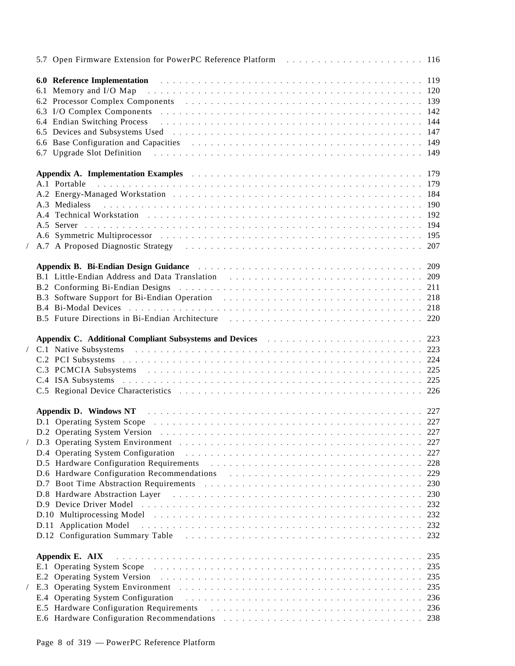|  | 5.7 Open Firmware Extension for PowerPC Reference Platform (and all contained a set of the 116                                                                                                                                 |     |
|--|--------------------------------------------------------------------------------------------------------------------------------------------------------------------------------------------------------------------------------|-----|
|  |                                                                                                                                                                                                                                |     |
|  | 6.1 Memory and I/O Map entertainment and the contract of the Memory and I/O Map entertainment and the contract of the Memory and I20                                                                                           |     |
|  | 6.2 Processor Complex Components extensive resources in the contract of the contract of the contract of the contract of the contract of the contract of the contract of the contract of the contract of the contract of the co |     |
|  |                                                                                                                                                                                                                                |     |
|  |                                                                                                                                                                                                                                |     |
|  |                                                                                                                                                                                                                                |     |
|  |                                                                                                                                                                                                                                |     |
|  | 6.7 Upgrade Slot Definition enters and the contract of the contract of the contract of the contract of the contract of the contract of the contract of the contract of the contract of the contract of the contract of the con |     |
|  |                                                                                                                                                                                                                                |     |
|  | Appendix A. Implementation Examples examples and a substitution of the contract of the state of the 179                                                                                                                        |     |
|  |                                                                                                                                                                                                                                |     |
|  |                                                                                                                                                                                                                                |     |
|  |                                                                                                                                                                                                                                |     |
|  |                                                                                                                                                                                                                                |     |
|  |                                                                                                                                                                                                                                |     |
|  |                                                                                                                                                                                                                                |     |
|  | A.7 A Proposed Diagnostic Strategy (and all contracts of the contracts of the contracts of the contracts of the contracts of the contracts of the contracts of the contracts of the contracts of the contracts of the contract |     |
|  |                                                                                                                                                                                                                                |     |
|  | Appendix B. Bi-Endian Design Guidance Martin March 1999 (1999) Appendix B. Bi-Endian Design Guidance Martin Martin March 209                                                                                                   |     |
|  |                                                                                                                                                                                                                                |     |
|  | B.2 Conforming Bi-Endian Designs (and all contained a series of the contact of the contact of the contact of the contact of the contact of the contact of the contact of the contact of the contact of the contact of the cont |     |
|  | B.3 Software Support for Bi-Endian Operation (and all contacts of the set of the 218                                                                                                                                           |     |
|  |                                                                                                                                                                                                                                |     |
|  | B.5 Future Directions in Bi-Endian Architecture enterprise in the set of the case of the 220                                                                                                                                   |     |
|  |                                                                                                                                                                                                                                |     |
|  |                                                                                                                                                                                                                                |     |
|  |                                                                                                                                                                                                                                |     |
|  |                                                                                                                                                                                                                                |     |
|  |                                                                                                                                                                                                                                |     |
|  |                                                                                                                                                                                                                                |     |
|  |                                                                                                                                                                                                                                |     |
|  |                                                                                                                                                                                                                                |     |
|  |                                                                                                                                                                                                                                |     |
|  |                                                                                                                                                                                                                                |     |
|  |                                                                                                                                                                                                                                | 227 |
|  | D.4 Operating System Configuration                                                                                                                                                                                             |     |
|  | D.5 Hardware Configuration Requirements and the contract of the contract of the contract of the contract of the contract of the contract of the contract of the contract of the contract of the contract of the contract of th | 228 |
|  | D.6 Hardware Configuration Recommendations extendions and the set of the set of the set of the set of the set of the set of the set of the set of the set of the set of the set of the set of the set of the set of the set of | 229 |
|  | D.7 Boot Time Abstraction Requirements enters and the contract of the contract of the contract of the contract of the contract of the contract of the contract of the contract of the contract of the contract of the contract | 230 |
|  |                                                                                                                                                                                                                                | 230 |
|  |                                                                                                                                                                                                                                | 232 |
|  |                                                                                                                                                                                                                                | 232 |
|  | D.11 Application Model                                                                                                                                                                                                         | 232 |
|  | D.12 Configuration Summary Table enterprise in the service of the contract of the 232                                                                                                                                          |     |
|  |                                                                                                                                                                                                                                |     |
|  | Appendix E. AIX                                                                                                                                                                                                                | 235 |
|  |                                                                                                                                                                                                                                | 235 |
|  |                                                                                                                                                                                                                                | 235 |
|  |                                                                                                                                                                                                                                | 235 |
|  | E.4 Operating System Configuration                                                                                                                                                                                             | 236 |
|  |                                                                                                                                                                                                                                |     |
|  |                                                                                                                                                                                                                                |     |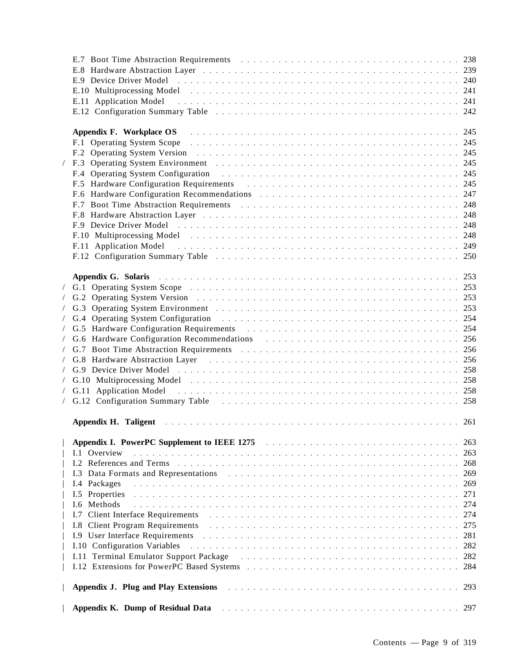| E.11 Application Model experience in the contract of the contract of the contract of the contract of the contract of the contract of the contract of the contract of the contract of the contract of the contract of the contr      |     |
|-------------------------------------------------------------------------------------------------------------------------------------------------------------------------------------------------------------------------------------|-----|
|                                                                                                                                                                                                                                     |     |
|                                                                                                                                                                                                                                     |     |
| <b>Appendix F. Workplace OS</b> resources in the contract of the contract of the contract of the contract of the contract of the contract of the contract of the contract of the contract of the contract of the contract of the co |     |
|                                                                                                                                                                                                                                     |     |
|                                                                                                                                                                                                                                     |     |
|                                                                                                                                                                                                                                     |     |
| F.4 Operating System Configuration enterstated and the contract of the contract of the contract of the contract of the contract of the contract of the contract of the contract of the contract of the contract of the contrac      |     |
| F.5 Hardware Configuration Requirements enters and the set of the set of the set of the set of the set of the set of the set of the set of the set of the set of the set of the set of the set of the set of the set of the se      |     |
|                                                                                                                                                                                                                                     |     |
|                                                                                                                                                                                                                                     |     |
|                                                                                                                                                                                                                                     |     |
|                                                                                                                                                                                                                                     |     |
|                                                                                                                                                                                                                                     |     |
| F.11 Application Model (and all contracts of the contracts of the contracts of the contracts of the contracts of the contracts of the contracts of the contracts of the contracts of the contracts of the contracts of the con      |     |
|                                                                                                                                                                                                                                     |     |
|                                                                                                                                                                                                                                     |     |
| Appendix G. Solaris (al., 253) (253) (253) (253) (253) (254) (254) (254) (254) (254) (254) (254) (254) (254) (254) (255) (257) (257) (257) (257) (257) (257) (257) (257) (257) (257) (257) (257) (257) (257) (257) (257) (257)      |     |
|                                                                                                                                                                                                                                     |     |
|                                                                                                                                                                                                                                     |     |
|                                                                                                                                                                                                                                     |     |
|                                                                                                                                                                                                                                     |     |
|                                                                                                                                                                                                                                     |     |
|                                                                                                                                                                                                                                     |     |
|                                                                                                                                                                                                                                     |     |
| / G.8 Hardware Abstraction Layer entertainment of the contract of the Association of the C.8 Hardware Abstraction Layer                                                                                                             |     |
|                                                                                                                                                                                                                                     |     |
| G.10 Multiprocessing Model entertainment and the contract of the Model of the contract of the contract of the contract of the contract of the contract of the contract of the contract of the contract of the contract of the       |     |
| G.11 Application Model (and all contract of the contract of the contract of the contract of the contract of the contract of the contract of the contract of the contract of the contract of the contract of the contract of th      |     |
|                                                                                                                                                                                                                                     |     |
|                                                                                                                                                                                                                                     |     |
| Appendix H. Taligent et al., and a series of the contract of the contract of the contract of the contract of the contract of the contract of the contract of the contract of the contract of the contract of the contract of t      |     |
|                                                                                                                                                                                                                                     |     |
|                                                                                                                                                                                                                                     | 263 |
| <b>Appendix I. PowerPC Supplement to IEEE 1275</b> and a substitution of the state of the state of the state of the state of the state of the state of the state of the state of the state of the state of the state of the state o |     |
| Overview<br>1.1                                                                                                                                                                                                                     | 263 |
| References and Terms in the contract of the contract of the contract of the contract of the contract of the contract of the contract of the contract of the contract of the contract of the contract of the contract of the co      | 268 |
| I.3 Data Formats and Representations                                                                                                                                                                                                | 269 |
| I.4 Packages                                                                                                                                                                                                                        | 269 |
| I.5 Properties                                                                                                                                                                                                                      | 271 |
| I.6 Methods                                                                                                                                                                                                                         | 274 |
| I.7 Client Interface Requirements                                                                                                                                                                                                   | 274 |
| <b>I.8 Client Program Requirements</b><br><u>. In the second term of the second term of the second term of the second term of the second term of the second</u>                                                                     | 275 |
|                                                                                                                                                                                                                                     | 281 |
| I.10 Configuration Variables                                                                                                                                                                                                        | 282 |
| I.11 Terminal Emulator Support Package (and all contained a state of the state of the state of the state of the state of the state of the state of the state of the state of the state of the state of the state of the state       | 282 |
|                                                                                                                                                                                                                                     | 284 |
|                                                                                                                                                                                                                                     |     |
| Appendix J. Plug and Play Extensions                                                                                                                                                                                                | 293 |
|                                                                                                                                                                                                                                     |     |
| Appendix K. Dump of Residual Data                                                                                                                                                                                                   | 297 |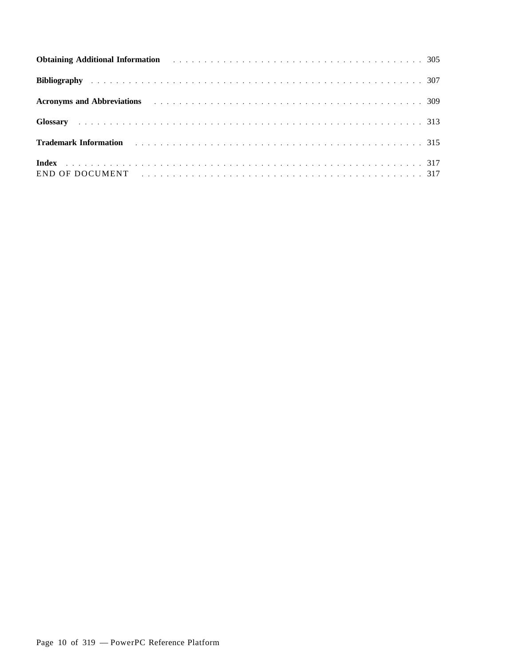| <b>Acronyms and Abbreviations</b> and the contract of the contract of the contract of the contract of the contract of the contract of the contract of the contract of the contract of the contract of the contract of the contract  |  |
|-------------------------------------------------------------------------------------------------------------------------------------------------------------------------------------------------------------------------------------|--|
|                                                                                                                                                                                                                                     |  |
| <b>Trademark Information</b> and a subsequence of the contract of the contract of the contract of the contract of the contract of the contract of the contract of the contract of the contract of the contract of the contract of t |  |
| END OF DOCUMENT (and the contract of the contract of the contract of the contract of the contract of the contract of the contract of the contract of the contract of the contract of the contract of the contract of the contr      |  |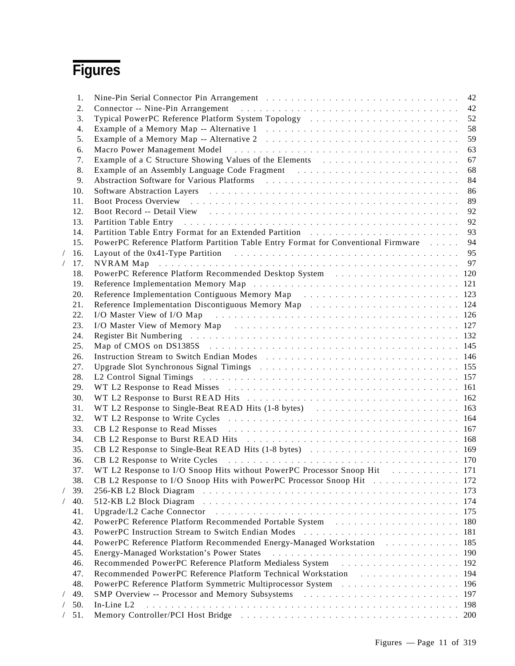# **Figures**

| 1.  |                                                                                                                                                                                                                                |      |
|-----|--------------------------------------------------------------------------------------------------------------------------------------------------------------------------------------------------------------------------------|------|
| 2.  |                                                                                                                                                                                                                                | 42   |
| 3.  | Typical PowerPC Reference Platform System Topology (and all also contained a series of the United States of Topology                                                                                                           | 52   |
| 4.  |                                                                                                                                                                                                                                | 58   |
| 5.  |                                                                                                                                                                                                                                | 59   |
| 6.  |                                                                                                                                                                                                                                | 63   |
| 7.  | Example of a C Structure Showing Values of the Elements                                                                                                                                                                        | 67   |
| 8.  | Example of an Assembly Language Code Fragment (and all contained a series of an Assembly Language Code Fragment (b) and a series of the series of the series of the series of the series of the series of the series of the se | 68   |
| 9.  |                                                                                                                                                                                                                                | 84   |
| 10. |                                                                                                                                                                                                                                | 86   |
| 11. |                                                                                                                                                                                                                                | 89   |
| 12. |                                                                                                                                                                                                                                | 92   |
| 13. | Partition Table Entry entertainment of the contract of the contract of the contract of the contract of the contract of the contract of the contract of the contract of the contract of the contract of the contract of the con | 92   |
| 14. |                                                                                                                                                                                                                                | 93   |
| 15. | PowerPC Reference Platform Partition Table Entry Format for Conventional Firmware 94                                                                                                                                           |      |
| 16. | Layout of the 0x41-Type Partition enterstanding the contract of the Partition of the Ox41-Type Partition enterstanding the contract of the UNIVERSITY of the Ox41-Type Partition                                               |      |
| 17. |                                                                                                                                                                                                                                |      |
| 18. | PowerPC Reference Platform Recommended Desktop System (also contained a second 120)                                                                                                                                            |      |
| 19. |                                                                                                                                                                                                                                |      |
| 20. | Reference Implementation Contiguous Memory Map experiences in the series of the Reference Implementation Contiguous Memory Map                                                                                                 |      |
| 21. |                                                                                                                                                                                                                                |      |
| 22. | I/O Master View of I/O Map entertainment of the contract of the Master View of I/O Map                                                                                                                                         |      |
| 23. | I/O Master View of Memory Map received and the contract of the Master View of Memory Map received and the contract of the Master of the Master of the Master of the Master of the Master of the Master of the Master of the Ma |      |
| 24. | Register Bit Numbering recovered as a series of the contract of the contract of the contract of the contract of the contract of the contract of the contract of the contract of the contract of the contract of the contract o |      |
| 25. | Map of CMOS on DS1385S resources and the set of the set of the set of the set of the set of the set of the set of the set of the set of the set of the set of the set of the set of the set of the set of the set of the set o |      |
| 26. | Instruction Stream to Switch Endian Modes expansion of the contract of the Instruction Stream to Switch Endian Modes expansion of the contract of the Institute of the Institute of the Institute of the Institute of the Inst |      |
| 27. |                                                                                                                                                                                                                                |      |
|     |                                                                                                                                                                                                                                |      |
| 28. | L2 Control Signal Timings experiences in the control of the control of the control of the control of the control of the control of the control of the control of the control of the control of the control of the control of t |      |
| 29. |                                                                                                                                                                                                                                |      |
| 30. |                                                                                                                                                                                                                                |      |
| 31. |                                                                                                                                                                                                                                |      |
| 32. |                                                                                                                                                                                                                                |      |
| 33. |                                                                                                                                                                                                                                |      |
| 34. | CB L2 Response to Burst READ Hits entertainment of the set of the set of the set of the set of the set of the set of the set of the set of the set of the set of the set of the set of the set of the set of the set of the se |      |
| 35. |                                                                                                                                                                                                                                |      |
| 36. | CB L2 Response to Write Cycles entertainment in the contract of the UZ Response to Write Cycles entertainment in the UZ Response of the UZ Response of the UZ Response of the UZ Response of the UZ Response of the UZ Respons |      |
| 37. | WT L2 Response to I/O Snoop Hits without PowerPC Processor Snoop Hit [1] [1] WT L2 Response to I/O Snoop Hits without PowerPC Processor Snoop Hit                                                                              |      |
| 38. | CB L2 Response to I/O Snoop Hits with PowerPC Processor Snoop Hit 172                                                                                                                                                          |      |
| 39. |                                                                                                                                                                                                                                | 173  |
| 40. |                                                                                                                                                                                                                                | -174 |
| 41. |                                                                                                                                                                                                                                | 175  |
| 42. |                                                                                                                                                                                                                                | 180  |
| 43. |                                                                                                                                                                                                                                | 181  |
| 44. | PowerPC Reference Platform Recommended Energy-Managed Workstation [1]                                                                                                                                                          | 185  |
| 45. | Energy-Managed Workstation's Power States et al., and a subseted to see a series of the state of the state of the state of the state of the state of the state of the state of the state of the state of the state of the stat | 190  |
| 46. |                                                                                                                                                                                                                                | 192  |
| 47. |                                                                                                                                                                                                                                | 194  |
| 48. |                                                                                                                                                                                                                                | 196  |
| 49. | SMP Overview -- Processor and Memory Subsystems enterstanding the series of the control of the SMP Overview of the SMP Overview of the SMP Overview of the SMP Overview of the SMP Overview of the SMP Overview of the SMP Ove | 197  |
| 50. | In-Line L2                                                                                                                                                                                                                     | 198  |
| 51. | Memory Controller/PCI Host Bridge enterpresentation of the set of the set of the Second Memory Controller/PCI Host Bridge enterpresentation of the set of the Second Memory Controller (PCI Host Bridge enterpresentation of t | 200  |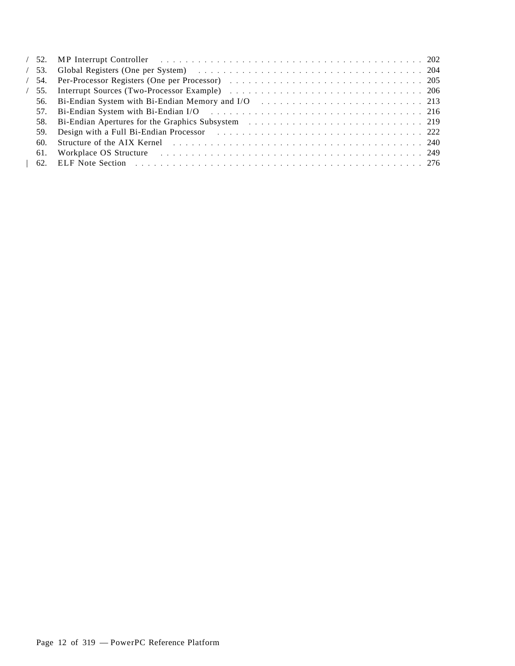|  | 56. Bi-Endian System with Bi-Endian Memory and I/O resources in the service of the 213                                                                                                                                         |  |
|--|--------------------------------------------------------------------------------------------------------------------------------------------------------------------------------------------------------------------------------|--|
|  | 57. Bi-Endian System with Bi-Endian I/O resources resources resources resources and 216                                                                                                                                        |  |
|  |                                                                                                                                                                                                                                |  |
|  | 59. Design with a Full Bi-Endian Processor example and solution of the contract of the 222                                                                                                                                     |  |
|  | 60. Structure of the AIX Kernel enterpresentation of the AIX Kernel enterpresentation of the AIX Kernel enterpresentation of the AIX Kernel enterpresentation of the AIX Kernel enterpresentation of the AIX Kernel enterprese |  |
|  | 61. Workplace OS Structure et al., and the contract of the contract of the contract of the contract of the contract of the contract of the contract of the contract of the contract of the contract of the contract of the con |  |
|  |                                                                                                                                                                                                                                |  |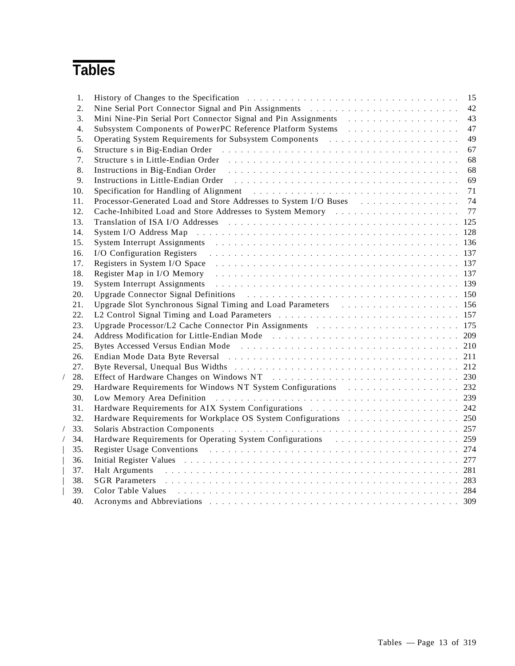# **Tables**

| 1.  |                                                                                                                                                                                                                                | 15 |
|-----|--------------------------------------------------------------------------------------------------------------------------------------------------------------------------------------------------------------------------------|----|
| 2.  |                                                                                                                                                                                                                                | 42 |
| 3.  | Mini Nine-Pin Serial Port Connector Signal and Pin Assignments and the subset of the Nine-Pin Serial Port                                                                                                                      | 43 |
| 4.  |                                                                                                                                                                                                                                | 47 |
| 5.  | Operating System Requirements for Subsystem Components (also contained a service of the contact of the Contract System Components (also contact the contact of the contact of the contact of the contact of the contact of the | 49 |
| 6.  | Structure s in Big-Endian Order (and all contained a series of the series of the series of the series of the series of the series of the series of the series of the series of the series of the series of the series of the s | 67 |
| 7.  |                                                                                                                                                                                                                                | 68 |
| 8.  |                                                                                                                                                                                                                                | 68 |
| 9.  | Instructions in Little-Endian Order enterpresentative container and the end of the Endian Order enterpresentative containing the United States of the Endian Order enterpresentative containing the United States of the Endia | 69 |
| 10. | Specification for Handling of Alignment (and all contained a series of the series of the series of the series of the series of the series of the series of the series of the series of the series of the series of the series  | 71 |
| 11. |                                                                                                                                                                                                                                |    |
| 12. |                                                                                                                                                                                                                                |    |
| 13. |                                                                                                                                                                                                                                |    |
| 14. |                                                                                                                                                                                                                                |    |
| 15. | System Interrupt Assignments entertainment and the contract of the contract of the system Interrupt Assignments                                                                                                                |    |
| 16. | I/O Configuration Registers extension of the contract of the contract of the contract of the contract of the contract of the contract of the contract of the contract of the contract of the contract of the contract of the c |    |
| 17. |                                                                                                                                                                                                                                |    |
| 18. | Register Map in I/O Memory entertainment of the contract of the Map in I/O Memory entertainment of the contract of the Map in I/O Memory                                                                                       |    |
| 19. | System Interrupt Assignments entertainment of the contract of the contract of the system Interrupt Assignments                                                                                                                 |    |
| 20. | Upgrade Connector Signal Definitions entertainment of the contract of the Upgrade Connector Signal Definitions                                                                                                                 |    |
| 21. | Upgrade Slot Synchronous Signal Timing and Load Parameters (also contained a series of the 156                                                                                                                                 |    |
| 22. |                                                                                                                                                                                                                                |    |
| 23. |                                                                                                                                                                                                                                |    |
| 24. | Address Modification for Little-Endian Mode (Basebauer 1998) and Address Modification for Little-Endian Mode (Basebauer 1999)                                                                                                  |    |
| 25. | Bytes Accessed Versus Endian Mode (a) respectively and the set of the set of the set of the set of the set of the set of the set of the set of the set of the set of the set of the set of the set of the set of the set of th |    |
| 26. |                                                                                                                                                                                                                                |    |
| 27. |                                                                                                                                                                                                                                |    |
| 28. | Effect of Hardware Changes on Windows NT (and the contract of the contract of the 230                                                                                                                                          |    |
| 29. | Hardware Requirements for Windows NT System Configurations (Figure 1992) Hardware Requirements for Windows NT System Configurations (Figure 1992)                                                                              |    |
| 30. | Low Memory Area Definition contracts in the contracts of the contracts of the contracts of the contracts of the contracts of the contracts of the contracts of the contracts of the contracts of the contracts of the contract |    |
| 31. |                                                                                                                                                                                                                                |    |
| 32. |                                                                                                                                                                                                                                |    |
| 33. |                                                                                                                                                                                                                                |    |
| 34. | Hardware Requirements for Operating System Configurations (Figure 1995) 1998                                                                                                                                                   |    |
| 35. |                                                                                                                                                                                                                                |    |
| 36. | Initial Register Values (also contained a service of the contained and the contained also contained a service of $277$                                                                                                         |    |
| 37. | Halt Arguments resources in the contract of the contract of the contract of the contract of the contract of the contract of the contract of the contract of the contract of the contract of the contract of the contract of th |    |
| 38. | SGR Parameters contract and the contract of the contract of the contract of the contract of the contract of the contract of the contract of the contract of the contract of the contract of the contract of the contract of th |    |
| 39. | Color Table Values (all respective contract to the contract of the contract of the contract of the contract of the contract of the contract of the contract of the contract of the contract of the contract of the contract of |    |
| 40. | Acronyms and Abbreviations entertainment and the state of the state of the state of the state of the state of the state of the state of the state of the state of the state of the state of the state of the state of the stat |    |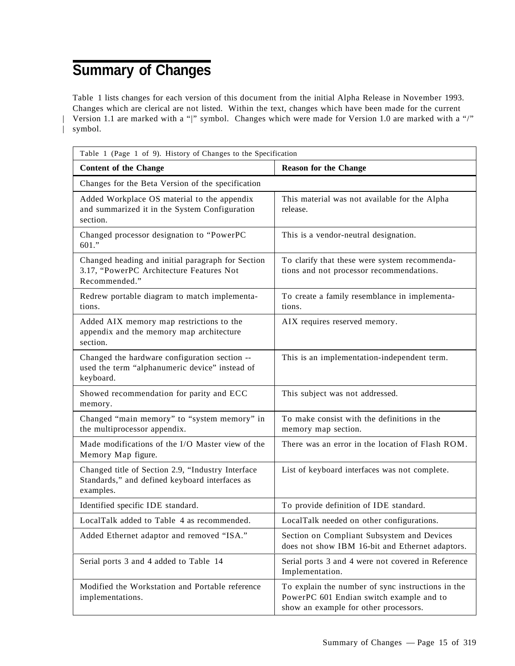# **Summary of Changes**

Table 1 lists changes for each version of this document from the initial Alpha Release in November 1993. Changes which are clerical are not listed. Within the text, changes which have been made for the current | Version 1.1 are marked with a "|" symbol. Changes which were made for Version 1.0 are marked with a "/" | symbol.

| Table 1 (Page 1 of 9). History of Changes to the Specification                                                   |                                                                                                                                        |  |
|------------------------------------------------------------------------------------------------------------------|----------------------------------------------------------------------------------------------------------------------------------------|--|
| <b>Content of the Change</b>                                                                                     | <b>Reason for the Change</b>                                                                                                           |  |
| Changes for the Beta Version of the specification                                                                |                                                                                                                                        |  |
| Added Workplace OS material to the appendix<br>and summarized it in the System Configuration<br>section.         | This material was not available for the Alpha<br>release.                                                                              |  |
| Changed processor designation to "PowerPC<br>601."                                                               | This is a vendor-neutral designation.                                                                                                  |  |
| Changed heading and initial paragraph for Section<br>3.17, "PowerPC Architecture Features Not<br>Recommended."   | To clarify that these were system recommenda-<br>tions and not processor recommendations.                                              |  |
| Redrew portable diagram to match implementa-<br>tions.                                                           | To create a family resemblance in implementa-<br>tions.                                                                                |  |
| Added AIX memory map restrictions to the<br>appendix and the memory map architecture<br>section.                 | AIX requires reserved memory.                                                                                                          |  |
| Changed the hardware configuration section --<br>used the term "alphanumeric device" instead of<br>keyboard.     | This is an implementation-independent term.                                                                                            |  |
| Showed recommendation for parity and ECC<br>memory.                                                              | This subject was not addressed.                                                                                                        |  |
| Changed "main memory" to "system memory" in<br>the multiprocessor appendix.                                      | To make consist with the definitions in the<br>memory map section.                                                                     |  |
| Made modifications of the I/O Master view of the<br>Memory Map figure.                                           | There was an error in the location of Flash ROM.                                                                                       |  |
| Changed title of Section 2.9, "Industry Interface<br>Standards," and defined keyboard interfaces as<br>examples. | List of keyboard interfaces was not complete.                                                                                          |  |
| Identified specific IDE standard.                                                                                | To provide definition of IDE standard.                                                                                                 |  |
| LocalTalk added to Table 4 as recommended.                                                                       | LocalTalk needed on other configurations.                                                                                              |  |
| Added Ethernet adaptor and removed "ISA."                                                                        | Section on Compliant Subsystem and Devices<br>does not show IBM 16-bit and Ethernet adaptors.                                          |  |
| Serial ports 3 and 4 added to Table 14                                                                           | Serial ports 3 and 4 were not covered in Reference<br>Implementation.                                                                  |  |
| Modified the Workstation and Portable reference<br>implementations.                                              | To explain the number of sync instructions in the<br>PowerPC 601 Endian switch example and to<br>show an example for other processors. |  |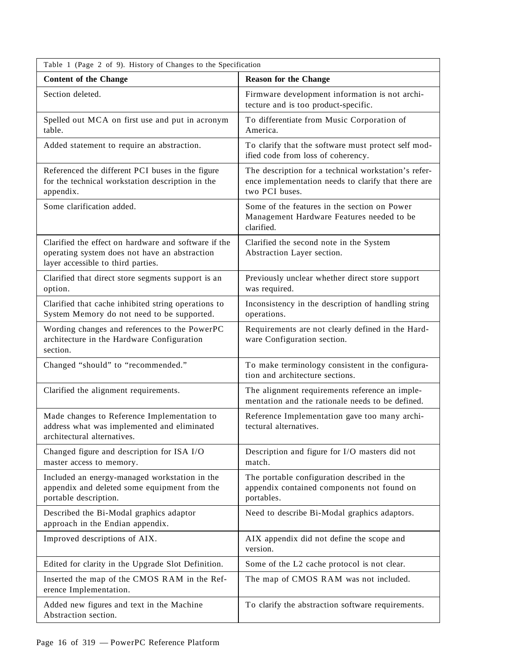| Table 1 (Page 2 of 9). History of Changes to the Specification                                                                              |                                                                                                                               |  |
|---------------------------------------------------------------------------------------------------------------------------------------------|-------------------------------------------------------------------------------------------------------------------------------|--|
| <b>Content of the Change</b>                                                                                                                | <b>Reason for the Change</b>                                                                                                  |  |
| Section deleted.                                                                                                                            | Firmware development information is not archi-<br>tecture and is too product-specific.                                        |  |
| Spelled out MCA on first use and put in acronym<br>table.                                                                                   | To differentiate from Music Corporation of<br>America.                                                                        |  |
| Added statement to require an abstraction.                                                                                                  | To clarify that the software must protect self mod-<br>ified code from loss of coherency.                                     |  |
| Referenced the different PCI buses in the figure<br>for the technical workstation description in the<br>appendix.                           | The description for a technical workstation's refer-<br>ence implementation needs to clarify that there are<br>two PCI buses. |  |
| Some clarification added.                                                                                                                   | Some of the features in the section on Power<br>Management Hardware Features needed to be<br>clarified.                       |  |
| Clarified the effect on hardware and software if the<br>operating system does not have an abstraction<br>layer accessible to third parties. | Clarified the second note in the System<br>Abstraction Layer section.                                                         |  |
| Clarified that direct store segments support is an<br>option.                                                                               | Previously unclear whether direct store support<br>was required.                                                              |  |
| Clarified that cache inhibited string operations to<br>System Memory do not need to be supported.                                           | Inconsistency in the description of handling string<br>operations.                                                            |  |
| Wording changes and references to the PowerPC<br>architecture in the Hardware Configuration<br>section.                                     | Requirements are not clearly defined in the Hard-<br>ware Configuration section.                                              |  |
| Changed "should" to "recommended."                                                                                                          | To make terminology consistent in the configura-<br>tion and architecture sections.                                           |  |
| Clarified the alignment requirements.                                                                                                       | The alignment requirements reference an imple-<br>mentation and the rationale needs to be defined.                            |  |
| Made changes to Reference Implementation to<br>address what was implemented and eliminated<br>architectural alternatives.                   | Reference Implementation gave too many archi-<br>tectural alternatives.                                                       |  |
| Changed figure and description for ISA I/O<br>master access to memory.                                                                      | Description and figure for I/O masters did not<br>match.                                                                      |  |
| Included an energy-managed workstation in the<br>appendix and deleted some equipment from the<br>portable description.                      | The portable configuration described in the<br>appendix contained components not found on<br>portables.                       |  |
| Described the Bi-Modal graphics adaptor<br>approach in the Endian appendix.                                                                 | Need to describe Bi-Modal graphics adaptors.                                                                                  |  |
| Improved descriptions of AIX.                                                                                                               | AIX appendix did not define the scope and<br>version.                                                                         |  |
| Edited for clarity in the Upgrade Slot Definition.                                                                                          | Some of the L2 cache protocol is not clear.                                                                                   |  |
| Inserted the map of the CMOS RAM in the Ref-<br>erence Implementation.                                                                      | The map of CMOS RAM was not included.                                                                                         |  |
| Added new figures and text in the Machine<br>Abstraction section.                                                                           | To clarify the abstraction software requirements.                                                                             |  |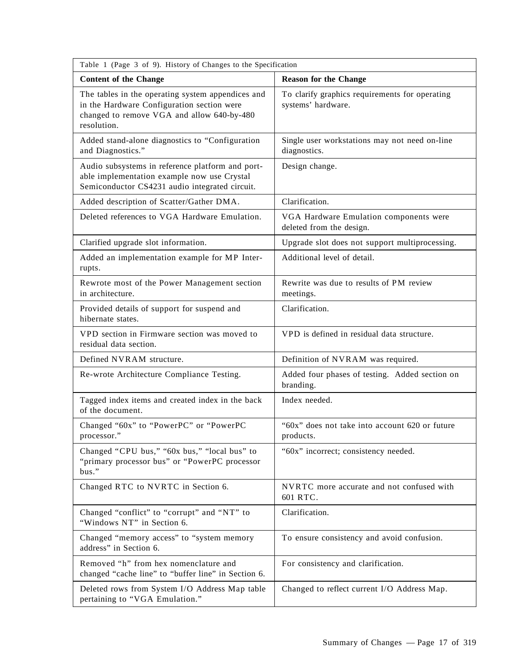| Table 1 (Page 3 of 9). History of Changes to the Specification                                                                                               |                                                                      |  |
|--------------------------------------------------------------------------------------------------------------------------------------------------------------|----------------------------------------------------------------------|--|
| <b>Content of the Change</b>                                                                                                                                 | <b>Reason for the Change</b>                                         |  |
| The tables in the operating system appendices and<br>in the Hardware Configuration section were<br>changed to remove VGA and allow 640-by-480<br>resolution. | To clarify graphics requirements for operating<br>systems' hardware. |  |
| Added stand-alone diagnostics to "Configuration<br>and Diagnostics."                                                                                         | Single user workstations may not need on-line<br>diagnostics.        |  |
| Audio subsystems in reference platform and port-<br>able implementation example now use Crystal<br>Semiconductor CS4231 audio integrated circuit.            | Design change.                                                       |  |
| Added description of Scatter/Gather DMA.                                                                                                                     | Clarification.                                                       |  |
| Deleted references to VGA Hardware Emulation.                                                                                                                | VGA Hardware Emulation components were<br>deleted from the design.   |  |
| Clarified upgrade slot information.                                                                                                                          | Upgrade slot does not support multiprocessing.                       |  |
| Added an implementation example for MP Inter-<br>rupts.                                                                                                      | Additional level of detail.                                          |  |
| Rewrote most of the Power Management section<br>in architecture.                                                                                             | Rewrite was due to results of PM review<br>meetings.                 |  |
| Provided details of support for suspend and<br>hibernate states.                                                                                             | Clarification.                                                       |  |
| VPD section in Firmware section was moved to<br>residual data section.                                                                                       | VPD is defined in residual data structure.                           |  |
| Defined NVRAM structure.                                                                                                                                     | Definition of NVRAM was required.                                    |  |
| Re-wrote Architecture Compliance Testing.                                                                                                                    | Added four phases of testing. Added section on<br>branding.          |  |
| Tagged index items and created index in the back<br>of the document.                                                                                         | Index needed.                                                        |  |
| Changed "60x" to "PowerPC" or "PowerPC<br>processor."                                                                                                        | "60x" does not take into account 620 or future<br>products.          |  |
| Changed "CPU bus," "60x bus," "local bus" to<br>"primary processor bus" or "PowerPC processor<br>bus."                                                       | "60x" incorrect; consistency needed.                                 |  |
| Changed RTC to NVRTC in Section 6.                                                                                                                           | NVRTC more accurate and not confused with<br>601 RTC.                |  |
| Changed "conflict" to "corrupt" and "NT" to<br>"Windows NT" in Section 6.                                                                                    | Clarification.                                                       |  |
| Changed "memory access" to "system memory<br>address" in Section 6.                                                                                          | To ensure consistency and avoid confusion.                           |  |
| Removed "h" from hex nomenclature and<br>changed "cache line" to "buffer line" in Section 6.                                                                 | For consistency and clarification.                                   |  |
| Deleted rows from System I/O Address Map table<br>pertaining to "VGA Emulation."                                                                             | Changed to reflect current I/O Address Map.                          |  |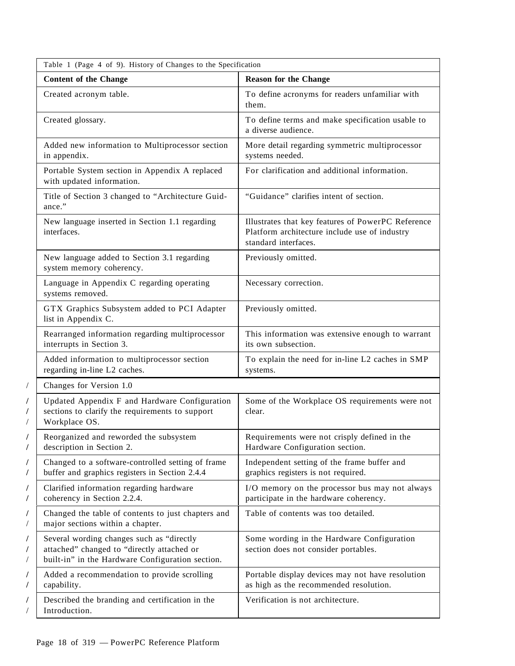|   | Table 1 (Page 4 of 9). History of Changes to the Specification                                                                              |                                                                                                                             |  |
|---|---------------------------------------------------------------------------------------------------------------------------------------------|-----------------------------------------------------------------------------------------------------------------------------|--|
|   | <b>Content of the Change</b>                                                                                                                | <b>Reason for the Change</b>                                                                                                |  |
|   | Created acronym table.                                                                                                                      | To define acronyms for readers unfamiliar with<br>them.                                                                     |  |
|   | Created glossary.                                                                                                                           | To define terms and make specification usable to<br>a diverse audience.                                                     |  |
|   | Added new information to Multiprocessor section<br>in appendix.                                                                             | More detail regarding symmetric multiprocessor<br>systems needed.                                                           |  |
|   | Portable System section in Appendix A replaced<br>with updated information.                                                                 | For clarification and additional information.                                                                               |  |
|   | Title of Section 3 changed to "Architecture Guid-<br>ance."                                                                                 | "Guidance" clarifies intent of section.                                                                                     |  |
|   | New language inserted in Section 1.1 regarding<br>interfaces.                                                                               | Illustrates that key features of PowerPC Reference<br>Platform architecture include use of industry<br>standard interfaces. |  |
|   | New language added to Section 3.1 regarding<br>system memory coherency.                                                                     | Previously omitted.                                                                                                         |  |
|   | Language in Appendix C regarding operating<br>systems removed.                                                                              | Necessary correction.                                                                                                       |  |
|   | GTX Graphics Subsystem added to PCI Adapter<br>list in Appendix C.                                                                          | Previously omitted.                                                                                                         |  |
|   | Rearranged information regarding multiprocessor<br>interrupts in Section 3.                                                                 | This information was extensive enough to warrant<br>its own subsection.                                                     |  |
|   | Added information to multiprocessor section<br>regarding in-line L2 caches.                                                                 | To explain the need for in-line L2 caches in SMP<br>systems.                                                                |  |
| / | Changes for Version 1.0                                                                                                                     |                                                                                                                             |  |
|   | Updated Appendix F and Hardware Configuration<br>sections to clarify the requirements to support<br>Workplace OS.                           | Some of the Workplace OS requirements were not<br>clear.                                                                    |  |
|   | Reorganized and reworded the subsystem<br>description in Section 2.                                                                         | Requirements were not crisply defined in the<br>Hardware Configuration section.                                             |  |
| / | Changed to a software-controlled setting of frame<br>buffer and graphics registers in Section 2.4.4                                         | Independent setting of the frame buffer and<br>graphics registers is not required.                                          |  |
| / | Clarified information regarding hardware<br>coherency in Section 2.2.4.                                                                     | I/O memory on the processor bus may not always<br>participate in the hardware coherency.                                    |  |
|   | Changed the table of contents to just chapters and<br>major sections within a chapter.                                                      | Table of contents was too detailed.                                                                                         |  |
|   | Several wording changes such as "directly<br>attached" changed to "directly attached or<br>built-in" in the Hardware Configuration section. | Some wording in the Hardware Configuration<br>section does not consider portables.                                          |  |
|   | Added a recommendation to provide scrolling<br>capability.                                                                                  | Portable display devices may not have resolution<br>as high as the recommended resolution.                                  |  |
|   | Described the branding and certification in the<br>Introduction.                                                                            | Verification is not architecture.                                                                                           |  |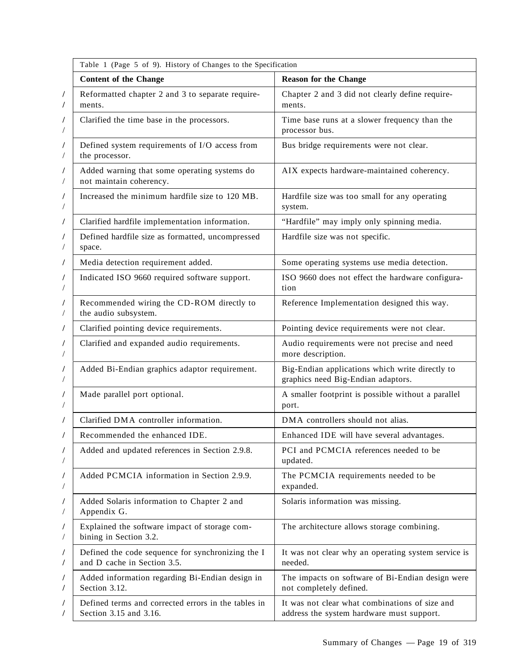| Table 1 (Page 5 of 9). History of Changes to the Specification                   |                                                                                             |
|----------------------------------------------------------------------------------|---------------------------------------------------------------------------------------------|
| <b>Content of the Change</b>                                                     | <b>Reason for the Change</b>                                                                |
| Reformatted chapter 2 and 3 to separate require-<br>ments.                       | Chapter 2 and 3 did not clearly define require-<br>ments.                                   |
| Clarified the time base in the processors.                                       | Time base runs at a slower frequency than the<br>processor bus.                             |
| Defined system requirements of I/O access from<br>the processor.                 | Bus bridge requirements were not clear.                                                     |
| Added warning that some operating systems do<br>not maintain coherency.          | AIX expects hardware-maintained coherency.                                                  |
| Increased the minimum hardfile size to 120 MB.                                   | Hardfile size was too small for any operating<br>system.                                    |
| Clarified hardfile implementation information.                                   | "Hardfile" may imply only spinning media.                                                   |
| Defined hardfile size as formatted, uncompressed<br>space.                       | Hardfile size was not specific.                                                             |
| Media detection requirement added.                                               | Some operating systems use media detection.                                                 |
| Indicated ISO 9660 required software support.                                    | ISO 9660 does not effect the hardware configura-<br>tion                                    |
| Recommended wiring the CD-ROM directly to<br>the audio subsystem.                | Reference Implementation designed this way.                                                 |
| Clarified pointing device requirements.                                          | Pointing device requirements were not clear.                                                |
| Clarified and expanded audio requirements.                                       | Audio requirements were not precise and need<br>more description.                           |
| Added Bi-Endian graphics adaptor requirement.                                    | Big-Endian applications which write directly to<br>graphics need Big-Endian adaptors.       |
| Made parallel port optional.                                                     | A smaller footprint is possible without a parallel<br>port.                                 |
| Clarified DMA controller information.                                            | DMA controllers should not alias.                                                           |
| Recommended the enhanced IDE                                                     | Enhanced IDE will have several advantages.                                                  |
| Added and updated references in Section 2.9.8.                                   | PCI and PCMCIA references needed to be<br>updated.                                          |
| Added PCMCIA information in Section 2.9.9.                                       | The PCMCIA requirements needed to be<br>expanded.                                           |
| Added Solaris information to Chapter 2 and<br>Appendix G.                        | Solaris information was missing.                                                            |
| Explained the software impact of storage com-<br>bining in Section 3.2.          | The architecture allows storage combining.                                                  |
| Defined the code sequence for synchronizing the I<br>and D cache in Section 3.5. | It was not clear why an operating system service is<br>needed.                              |
| Added information regarding Bi-Endian design in<br>Section 3.12.                 | The impacts on software of Bi-Endian design were<br>not completely defined.                 |
| Defined terms and corrected errors in the tables in<br>Section 3.15 and 3.16.    | It was not clear what combinations of size and<br>address the system hardware must support. |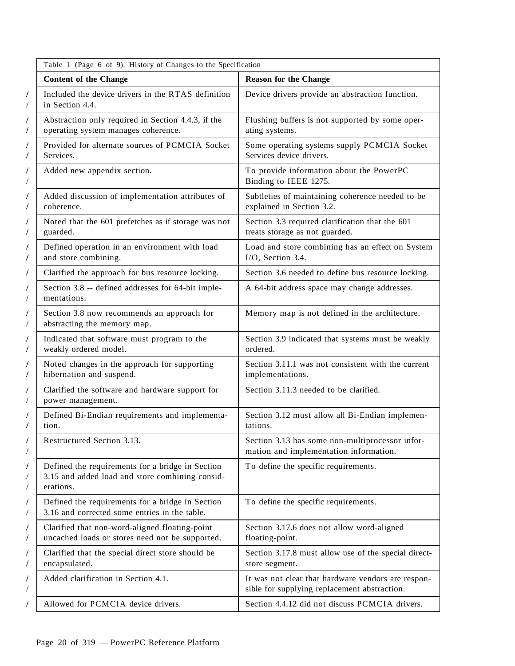|   | Table 1 (Page 6 of 9). History of Changes to the Specification                                                   |                                                                                                    |  |
|---|------------------------------------------------------------------------------------------------------------------|----------------------------------------------------------------------------------------------------|--|
|   | <b>Content of the Change</b>                                                                                     | <b>Reason for the Change</b>                                                                       |  |
| Γ | Included the device drivers in the RTAS definition<br>in Section 4.4.                                            | Device drivers provide an abstraction function.                                                    |  |
|   | Abstraction only required in Section 4.4.3, if the<br>operating system manages coherence.                        | Flushing buffers is not supported by some oper-<br>ating systems.                                  |  |
|   | Provided for alternate sources of PCMCIA Socket<br>Services.                                                     | Some operating systems supply PCMCIA Socket<br>Services device drivers.                            |  |
|   | Added new appendix section.                                                                                      | To provide information about the PowerPC<br>Binding to IEEE 1275.                                  |  |
| 7 | Added discussion of implementation attributes of<br>coherence.                                                   | Subtleties of maintaining coherence needed to be<br>explained in Section 3.2.                      |  |
|   | Noted that the 601 prefetches as if storage was not<br>guarded.                                                  | Section 3.3 required clarification that the 601<br>treats storage as not guarded.                  |  |
|   | Defined operation in an environment with load<br>and store combining.                                            | Load and store combining has an effect on System<br>I/O, Section 3.4.                              |  |
|   | Clarified the approach for bus resource locking.                                                                 | Section 3.6 needed to define bus resource locking.                                                 |  |
|   | Section 3.8 -- defined addresses for 64-bit imple-<br>mentations.                                                | A 64-bit address space may change addresses.                                                       |  |
|   | Section 3.8 now recommends an approach for<br>abstracting the memory map.                                        | Memory map is not defined in the architecture.                                                     |  |
| T | Indicated that software must program to the<br>weakly ordered model.                                             | Section 3.9 indicated that systems must be weakly<br>ordered.                                      |  |
|   | Noted changes in the approach for supporting<br>hibernation and suspend.                                         | Section 3.11.1 was not consistent with the current<br>implementations.                             |  |
|   | Clarified the software and hardware support for<br>power management.                                             | Section 3.11.3 needed to be clarified.                                                             |  |
|   | Defined Bi-Endian requirements and implementa-<br>tion.                                                          | Section 3.12 must allow all Bi-Endian implemen-<br>tations.                                        |  |
|   | Restructured Section 3.13.                                                                                       | Section 3.13 has some non-multiprocessor infor-<br>mation and implementation information.          |  |
|   | Defined the requirements for a bridge in Section<br>3.15 and added load and store combining consid-<br>erations. | To define the specific requirements.                                                               |  |
|   | Defined the requirements for a bridge in Section<br>3.16 and corrected some entries in the table.                | To define the specific requirements.                                                               |  |
|   | Clarified that non-word-aligned floating-point<br>uncached loads or stores need not be supported.                | Section 3.17.6 does not allow word-aligned<br>floating-point.                                      |  |
|   | Clarified that the special direct store should be<br>encapsulated.                                               | Section 3.17.8 must allow use of the special direct-<br>store segment.                             |  |
|   | Added clarification in Section 4.1.                                                                              | It was not clear that hardware vendors are respon-<br>sible for supplying replacement abstraction. |  |
|   | Allowed for PCMCIA device drivers.                                                                               | Section 4.4.12 did not discuss PCMCIA drivers.                                                     |  |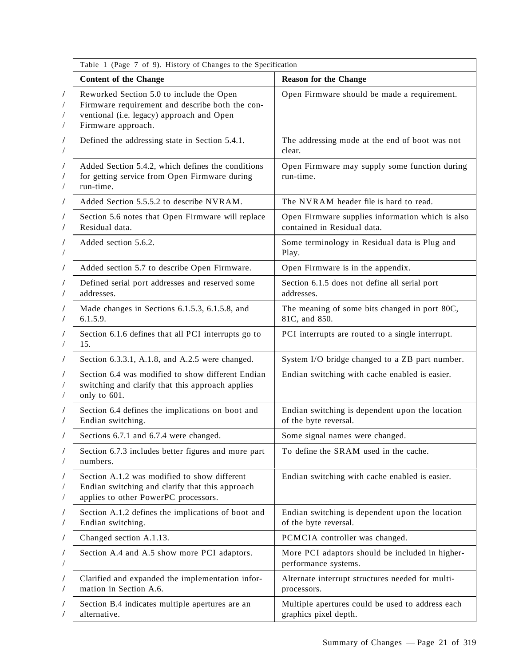| Table 1 (Page 7 of 9). History of Changes to the Specification                                                                                                 |                                                                                 |  |
|----------------------------------------------------------------------------------------------------------------------------------------------------------------|---------------------------------------------------------------------------------|--|
| <b>Content of the Change</b>                                                                                                                                   | <b>Reason for the Change</b>                                                    |  |
| Reworked Section 5.0 to include the Open<br>Firmware requirement and describe both the con-<br>ventional (i.e. legacy) approach and Open<br>Firmware approach. | Open Firmware should be made a requirement.                                     |  |
| Defined the addressing state in Section 5.4.1.                                                                                                                 | The addressing mode at the end of boot was not<br>clear.                        |  |
| Added Section 5.4.2, which defines the conditions<br>for getting service from Open Firmware during<br>run-time.                                                | Open Firmware may supply some function during<br>run-time.                      |  |
| Added Section 5.5.5.2 to describe NVRAM.                                                                                                                       | The NVRAM header file is hard to read.                                          |  |
| Section 5.6 notes that Open Firmware will replace<br>Residual data.                                                                                            | Open Firmware supplies information which is also<br>contained in Residual data. |  |
| Added section 5.6.2.                                                                                                                                           | Some terminology in Residual data is Plug and<br>Play.                          |  |
| Added section 5.7 to describe Open Firmware.                                                                                                                   | Open Firmware is in the appendix.                                               |  |
| Defined serial port addresses and reserved some<br>addresses.                                                                                                  | Section 6.1.5 does not define all serial port<br>addresses.                     |  |
| Made changes in Sections 6.1.5.3, 6.1.5.8, and<br>6.1.5.9.                                                                                                     | The meaning of some bits changed in port 80C,<br>81C, and 850.                  |  |
| Section 6.1.6 defines that all PCI interrupts go to<br>15.                                                                                                     | PCI interrupts are routed to a single interrupt.                                |  |
| Section 6.3.3.1, A.1.8, and A.2.5 were changed.                                                                                                                | System I/O bridge changed to a ZB part number.                                  |  |
| Section 6.4 was modified to show different Endian<br>switching and clarify that this approach applies<br>only to 601.                                          | Endian switching with cache enabled is easier.                                  |  |
| Section 6.4 defines the implications on boot and<br>Endian switching.                                                                                          | Endian switching is dependent upon the location<br>of the byte reversal.        |  |
| Sections 6.7.1 and 6.7.4 were changed.                                                                                                                         | Some signal names were changed.                                                 |  |
| Section 6.7.3 includes better figures and more part<br>numbers.                                                                                                | To define the SRAM used in the cache.                                           |  |
| Section A.1.2 was modified to show different<br>Endian switching and clarify that this approach<br>applies to other PowerPC processors.                        | Endian switching with cache enabled is easier.                                  |  |
| Section A.1.2 defines the implications of boot and<br>Endian switching.                                                                                        | Endian switching is dependent upon the location<br>of the byte reversal.        |  |
| Changed section A.1.13.                                                                                                                                        | PCMCIA controller was changed.                                                  |  |
| Section A.4 and A.5 show more PCI adaptors.                                                                                                                    | More PCI adaptors should be included in higher-<br>performance systems.         |  |
| Clarified and expanded the implementation infor-<br>mation in Section A.6.                                                                                     | Alternate interrupt structures needed for multi-<br>processors.                 |  |
| Section B.4 indicates multiple apertures are an<br>alternative.                                                                                                | Multiple apertures could be used to address each<br>graphics pixel depth.       |  |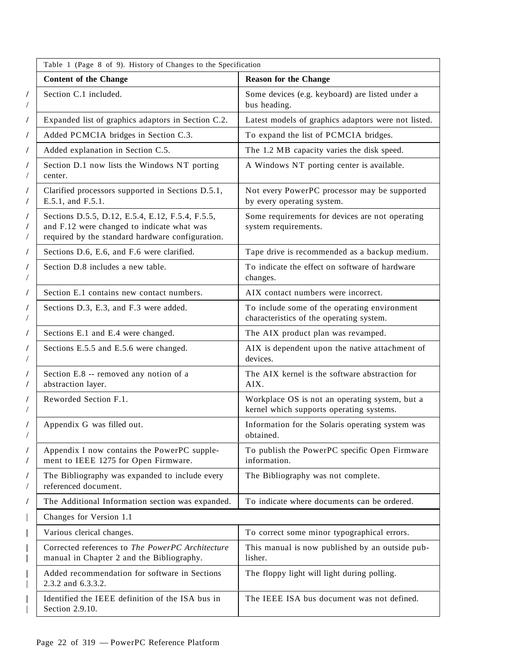|             | Table 1 (Page 8 of 9). History of Changes to the Specification                                                                                     |                                                                                            |  |
|-------------|----------------------------------------------------------------------------------------------------------------------------------------------------|--------------------------------------------------------------------------------------------|--|
|             | <b>Content of the Change</b>                                                                                                                       | <b>Reason for the Change</b>                                                               |  |
| /<br>Г      | Section C.1 included.                                                                                                                              | Some devices (e.g. keyboard) are listed under a<br>bus heading.                            |  |
| /           | Expanded list of graphics adaptors in Section C.2.                                                                                                 | Latest models of graphics adaptors were not listed.                                        |  |
| /           | Added PCMCIA bridges in Section C.3.                                                                                                               | To expand the list of PCMCIA bridges.                                                      |  |
| /           | Added explanation in Section C.5.                                                                                                                  | The 1.2 MB capacity varies the disk speed.                                                 |  |
| /<br>Г      | Section D.1 now lists the Windows NT porting<br>center.                                                                                            | A Windows NT porting center is available.                                                  |  |
| /<br>/      | Clarified processors supported in Sections D.5.1,<br>E.5.1, and F.5.1.                                                                             | Not every PowerPC processor may be supported<br>by every operating system.                 |  |
| /<br>/<br>Г | Sections D.5.5, D.12, E.5.4, E.12, F.5.4, F.5.5,<br>and F.12 were changed to indicate what was<br>required by the standard hardware configuration. | Some requirements for devices are not operating<br>system requirements.                    |  |
| /           | Sections D.6, E.6, and F.6 were clarified.                                                                                                         | Tape drive is recommended as a backup medium.                                              |  |
| /           | Section D.8 includes a new table.                                                                                                                  | To indicate the effect on software of hardware<br>changes.                                 |  |
| /           | Section E.1 contains new contact numbers.                                                                                                          | AIX contact numbers were incorrect.                                                        |  |
| /<br>Г      | Sections D.3, E.3, and F.3 were added.                                                                                                             | To include some of the operating environment<br>characteristics of the operating system.   |  |
| T           | Sections E.1 and E.4 were changed.                                                                                                                 | The AIX product plan was revamped.                                                         |  |
| L<br>/      | Sections E.5.5 and E.5.6 were changed.                                                                                                             | AIX is dependent upon the native attachment of<br>devices.                                 |  |
| 7           | Section E.8 -- removed any notion of a<br>abstraction layer.                                                                                       | The AIX kernel is the software abstraction for<br>AIX.                                     |  |
| T<br>/      | Reworded Section F.1.                                                                                                                              | Workplace OS is not an operating system, but a<br>kernel which supports operating systems. |  |
| /           | Appendix G was filled out.                                                                                                                         | Information for the Solaris operating system was<br>obtained.                              |  |
| /<br>Γ      | Appendix I now contains the PowerPC supple-<br>ment to IEEE 1275 for Open Firmware.                                                                | To publish the PowerPC specific Open Firmware<br>information.                              |  |
|             | The Bibliography was expanded to include every<br>referenced document.                                                                             | The Bibliography was not complete.                                                         |  |
|             | The Additional Information section was expanded.                                                                                                   | To indicate where documents can be ordered.                                                |  |
|             | Changes for Version 1.1                                                                                                                            |                                                                                            |  |
|             | Various clerical changes.                                                                                                                          | To correct some minor typographical errors.                                                |  |
|             | Corrected references to The PowerPC Architecture<br>manual in Chapter 2 and the Bibliography.                                                      | This manual is now published by an outside pub-<br>lisher.                                 |  |
|             | Added recommendation for software in Sections<br>2.3.2 and 6.3.3.2.                                                                                | The floppy light will light during polling.                                                |  |
|             | Identified the IEEE definition of the ISA bus in<br>Section 2.9.10.                                                                                | The IEEE ISA bus document was not defined.                                                 |  |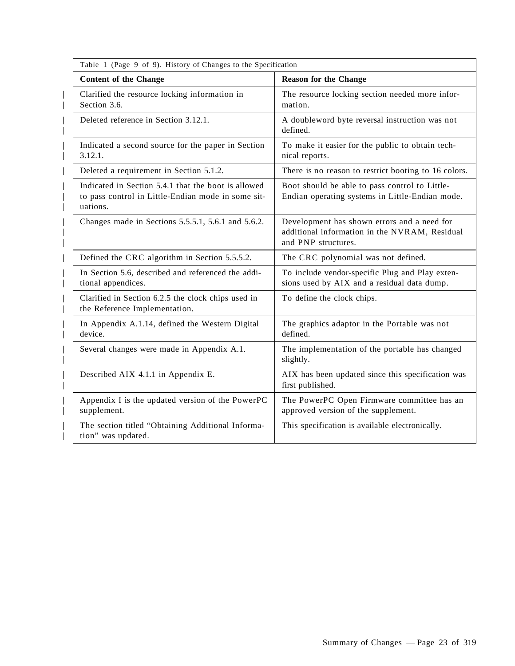| Table 1 (Page 9 of 9). History of Changes to the Specification                                                        |                                                                                                                     |
|-----------------------------------------------------------------------------------------------------------------------|---------------------------------------------------------------------------------------------------------------------|
| <b>Content of the Change</b>                                                                                          | <b>Reason for the Change</b>                                                                                        |
| Clarified the resource locking information in<br>Section 3.6.                                                         | The resource locking section needed more infor-<br>mation.                                                          |
| Deleted reference in Section 3.12.1.                                                                                  | A doubleword byte reversal instruction was not<br>defined.                                                          |
| Indicated a second source for the paper in Section<br>3.12.1.                                                         | To make it easier for the public to obtain tech-<br>nical reports.                                                  |
| Deleted a requirement in Section 5.1.2.                                                                               | There is no reason to restrict booting to 16 colors.                                                                |
| Indicated in Section 5.4.1 that the boot is allowed<br>to pass control in Little-Endian mode in some sit-<br>uations. | Boot should be able to pass control to Little-<br>Endian operating systems in Little-Endian mode.                   |
| Changes made in Sections 5.5.5.1, 5.6.1 and 5.6.2.                                                                    | Development has shown errors and a need for<br>additional information in the NVRAM, Residual<br>and PNP structures. |
| Defined the CRC algorithm in Section 5.5.5.2.                                                                         | The CRC polynomial was not defined.                                                                                 |
| In Section 5.6, described and referenced the addi-<br>tional appendices.                                              | To include vendor-specific Plug and Play exten-<br>sions used by AIX and a residual data dump.                      |
| Clarified in Section 6.2.5 the clock chips used in<br>the Reference Implementation.                                   | To define the clock chips.                                                                                          |
| In Appendix A.1.14, defined the Western Digital<br>device.                                                            | The graphics adaptor in the Portable was not<br>defined.                                                            |
| Several changes were made in Appendix A.1.                                                                            | The implementation of the portable has changed<br>slightly.                                                         |
| Described AIX 4.1.1 in Appendix E.                                                                                    | AIX has been updated since this specification was<br>first published.                                               |
| Appendix I is the updated version of the PowerPC<br>supplement.                                                       | The PowerPC Open Firmware committee has an<br>approved version of the supplement.                                   |
| The section titled "Obtaining Additional Informa-<br>tion" was updated.                                               | This specification is available electronically.                                                                     |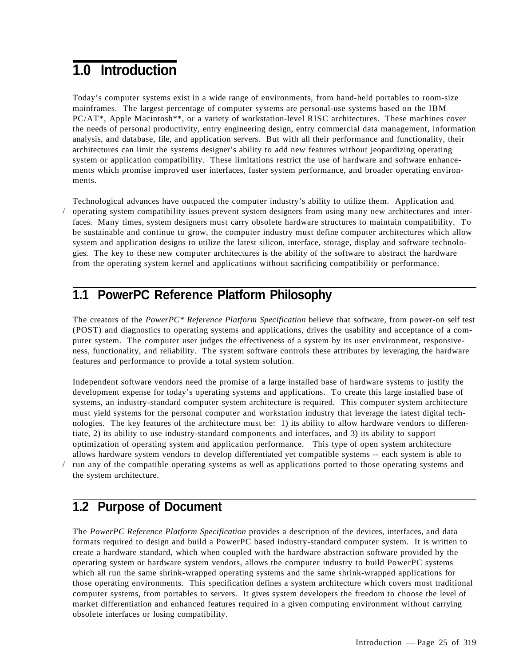# **1.0 Introduction**

Today's computer systems exist in a wide range of environments, from hand-held portables to room-size mainframes. The largest percentage of computer systems are personal-use systems based on the IBM PC/AT\*, Apple Macintosh\*\*, or a variety of workstation-level RISC architectures. These machines cover the needs of personal productivity, entry engineering design, entry commercial data management, information analysis, and database, file, and application servers. But with all their performance and functionality, their architectures can limit the systems designer's ability to add new features without jeopardizing operating system or application compatibility. These limitations restrict the use of hardware and software enhancements which promise improved user interfaces, faster system performance, and broader operating environments.

Technological advances have outpaced the computer industry's ability to utilize them. Application and / operating system compatibility issues prevent system designers from using many new architectures and interfaces. Many times, system designers must carry obsolete hardware structures to maintain compatibility. To be sustainable and continue to grow, the computer industry must define computer architectures which allow system and application designs to utilize the latest silicon, interface, storage, display and software technologies. The key to these new computer architectures is the ability of the software to abstract the hardware from the operating system kernel and applications without sacrificing compatibility or performance.

# **1.1 PowerPC Reference Platform Philosophy**

The creators of the *PowerPC\* Reference Platform Specification* believe that software, from power-on self test (POST) and diagnostics to operating systems and applications, drives the usability and acceptance of a computer system. The computer user judges the effectiveness of a system by its user environment, responsiveness, functionality, and reliability. The system software controls these attributes by leveraging the hardware features and performance to provide a total system solution.

Independent software vendors need the promise of a large installed base of hardware systems to justify the development expense for today's operating systems and applications. To create this large installed base of systems, an industry-standard computer system architecture is required. This computer system architecture must yield systems for the personal computer and workstation industry that leverage the latest digital technologies. The key features of the architecture must be: 1) its ability to allow hardware vendors to differentiate, 2) its ability to use industry-standard components and interfaces, and 3) its ability to support optimization of operating system and application performance. This type of open system architecture allows hardware system vendors to develop differentiated yet compatible systems -- each system is able to / run any of the compatible operating systems as well as applications ported to those operating systems and the system architecture.

### **1.2 Purpose of Document**

The *PowerPC Reference Platform Specification* provides a description of the devices, interfaces, and data formats required to design and build a PowerPC based industry-standard computer system. It is written to create a hardware standard, which when coupled with the hardware abstraction software provided by the operating system or hardware system vendors, allows the computer industry to build PowerPC systems which all run the same shrink-wrapped operating systems and the same shrink-wrapped applications for those operating environments. This specification defines a system architecture which covers most traditional computer systems, from portables to servers. It gives system developers the freedom to choose the level of market differentiation and enhanced features required in a given computing environment without carrying obsolete interfaces or losing compatibility.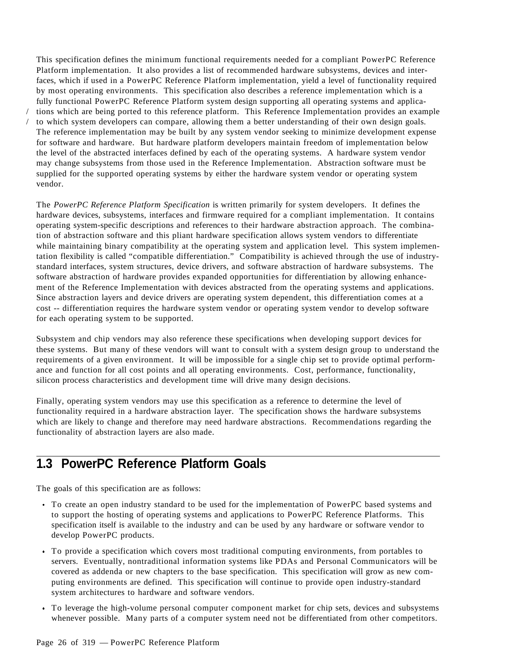This specification defines the minimum functional requirements needed for a compliant PowerPC Reference Platform implementation. It also provides a list of recommended hardware subsystems, devices and interfaces, which if used in a PowerPC Reference Platform implementation, yield a level of functionality required by most operating environments. This specification also describes a reference implementation which is a fully functional PowerPC Reference Platform system design supporting all operating systems and applica- / tions which are being ported to this reference platform. This Reference Implementation provides an example to which system developers can compare, allowing them a better understanding of their own design goals. The reference implementation may be built by any system vendor seeking to minimize development expense for software and hardware. But hardware platform developers maintain freedom of implementation below the level of the abstracted interfaces defined by each of the operating systems. A hardware system vendor may change subsystems from those used in the Reference Implementation. Abstraction software must be supplied for the supported operating systems by either the hardware system vendor or operating system vendor.

The *PowerPC Reference Platform Specification* is written primarily for system developers. It defines the hardware devices, subsystems, interfaces and firmware required for a compliant implementation. It contains operating system-specific descriptions and references to their hardware abstraction approach. The combination of abstraction software and this pliant hardware specification allows system vendors to differentiate while maintaining binary compatibility at the operating system and application level. This system implementation flexibility is called "compatible differentiation." Compatibility is achieved through the use of industrystandard interfaces, system structures, device drivers, and software abstraction of hardware subsystems. The software abstraction of hardware provides expanded opportunities for differentiation by allowing enhancement of the Reference Implementation with devices abstracted from the operating systems and applications. Since abstraction layers and device drivers are operating system dependent, this differentiation comes at a cost -- differentiation requires the hardware system vendor or operating system vendor to develop software for each operating system to be supported.

Subsystem and chip vendors may also reference these specifications when developing support devices for these systems. But many of these vendors will want to consult with a system design group to understand the requirements of a given environment. It will be impossible for a single chip set to provide optimal performance and function for all cost points and all operating environments. Cost, performance, functionality, silicon process characteristics and development time will drive many design decisions.

Finally, operating system vendors may use this specification as a reference to determine the level of functionality required in a hardware abstraction layer. The specification shows the hardware subsystems which are likely to change and therefore may need hardware abstractions. Recommendations regarding the functionality of abstraction layers are also made.

# **1.3 PowerPC Reference Platform Goals**

The goals of this specification are as follows:

- To create an open industry standard to be used for the implementation of PowerPC based systems and to support the hosting of operating systems and applications to PowerPC Reference Platforms. This specification itself is available to the industry and can be used by any hardware or software vendor to develop PowerPC products.
- To provide a specification which covers most traditional computing environments, from portables to servers. Eventually, nontraditional information systems like PDAs and Personal Communicators will be covered as addenda or new chapters to the base specification. This specification will grow as new computing environments are defined. This specification will continue to provide open industry-standard system architectures to hardware and software vendors.
- To leverage the high-volume personal computer component market for chip sets, devices and subsystems whenever possible. Many parts of a computer system need not be differentiated from other competitors.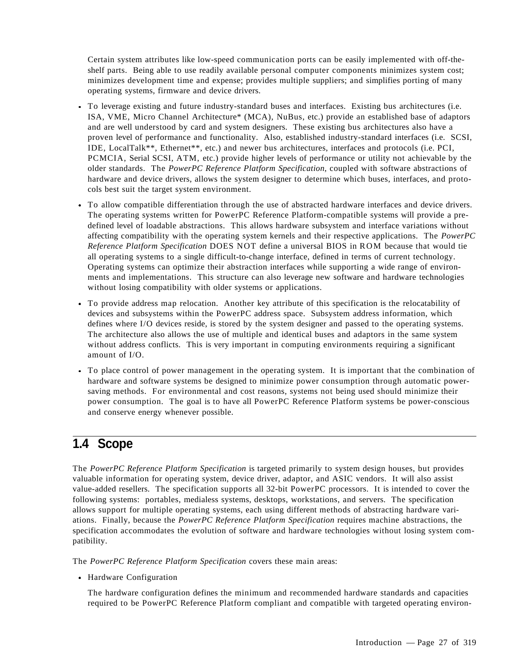Certain system attributes like low-speed communication ports can be easily implemented with off-theshelf parts. Being able to use readily available personal computer components minimizes system cost; minimizes development time and expense; provides multiple suppliers; and simplifies porting of many operating systems, firmware and device drivers.

- To leverage existing and future industry-standard buses and interfaces. Existing bus architectures (i.e. ISA, VME, Micro Channel Architecture\* (MCA), NuBus, etc.) provide an established base of adaptors and are well understood by card and system designers. These existing bus architectures also have a proven level of performance and functionality. Also, established industry-standard interfaces (i.e. SCSI, IDE, LocalTalk\*\*, Ethernet\*\*, etc.) and newer bus architectures, interfaces and protocols (i.e. PCI, PCMCIA, Serial SCSI, ATM, etc.) provide higher levels of performance or utility not achievable by the older standards. The *PowerPC Reference Platform Specification*, coupled with software abstractions of hardware and device drivers, allows the system designer to determine which buses, interfaces, and protocols best suit the target system environment.
- To allow compatible differentiation through the use of abstracted hardware interfaces and device drivers. The operating systems written for PowerPC Reference Platform-compatible systems will provide a predefined level of loadable abstractions. This allows hardware subsystem and interface variations without affecting compatibility with the operating system kernels and their respective applications. The *PowerPC Reference Platform Specification* DOES NOT define a universal BIOS in ROM because that would tie all operating systems to a single difficult-to-change interface, defined in terms of current technology. Operating systems can optimize their abstraction interfaces while supporting a wide range of environments and implementations. This structure can also leverage new software and hardware technologies without losing compatibility with older systems or applications.
- To provide address map relocation. Another key attribute of this specification is the relocatability of devices and subsystems within the PowerPC address space. Subsystem address information, which defines where I/O devices reside, is stored by the system designer and passed to the operating systems. The architecture also allows the use of multiple and identical buses and adaptors in the same system without address conflicts. This is very important in computing environments requiring a significant amount of I/O.
- To place control of power management in the operating system. It is important that the combination of hardware and software systems be designed to minimize power consumption through automatic powersaving methods. For environmental and cost reasons, systems not being used should minimize their power consumption. The goal is to have all PowerPC Reference Platform systems be power-conscious and conserve energy whenever possible.

# **1.4 Scope**

The *PowerPC Reference Platform Specification* is targeted primarily to system design houses, but provides valuable information for operating system, device driver, adaptor, and ASIC vendors. It will also assist value-added resellers. The specification supports all 32-bit PowerPC processors. It is intended to cover the following systems: portables, medialess systems, desktops, workstations, and servers. The specification allows support for multiple operating systems, each using different methods of abstracting hardware variations. Finally, because the *PowerPC Reference Platform Specification* requires machine abstractions, the specification accommodates the evolution of software and hardware technologies without losing system compatibility.

The *PowerPC Reference Platform Specification* covers these main areas:

• Hardware Configuration

The hardware configuration defines the minimum and recommended hardware standards and capacities required to be PowerPC Reference Platform compliant and compatible with targeted operating environ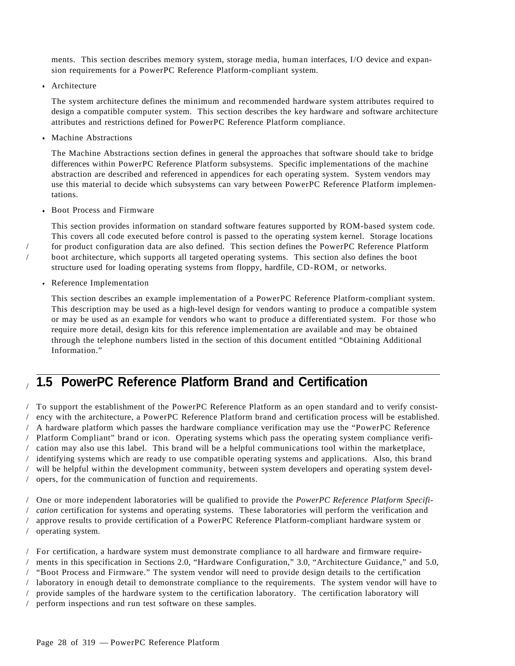ments. This section describes memory system, storage media, human interfaces, I/O device and expansion requirements for a PowerPC Reference Platform-compliant system.

• Architecture

The system architecture defines the minimum and recommended hardware system attributes required to design a compatible computer system. This section describes the key hardware and software architecture attributes and restrictions defined for PowerPC Reference Platform compliance.

Machine Abstractions

The Machine Abstractions section defines in general the approaches that software should take to bridge differences within PowerPC Reference Platform subsystems. Specific implementations of the machine abstraction are described and referenced in appendices for each operating system. System vendors may use this material to decide which subsystems can vary between PowerPC Reference Platform implementations.

• Boot Process and Firmware

This section provides information on standard software features supported by ROM-based system code. This covers all code executed before control is passed to the operating system kernel. Storage locations / for product configuration data are also defined. This section defines the PowerPC Reference Platform / boot architecture, which supports all targeted operating systems. This section also defines the boot structure used for loading operating systems from floppy, hardfile, CD-ROM, or networks.

Reference Implementation

This section describes an example implementation of a PowerPC Reference Platform-compliant system. This description may be used as a high-level design for vendors wanting to produce a compatible system or may be used as an example for vendors who want to produce a differentiated system. For those who require more detail, design kits for this reference implementation are available and may be obtained through the telephone numbers listed in the section of this document entitled "Obtaining Additional Information."

# / **1.5 PowerPC Reference Platform Brand and Certification**

/ To support the establishment of the PowerPC Reference Platform as an open standard and to verify consist- / ency with the architecture, a PowerPC Reference Platform brand and certification process will be established. / A hardware platform which passes the hardware compliance verification may use the "PowerPC Reference / Platform Compliant" brand or icon. Operating systems which pass the operating system compliance verifi- / cation may also use this label. This brand will be a helpful communications tool within the marketplace, / identifying systems which are ready to use compatible operating systems and applications. Also, this brand / will be helpful within the development community, between system developers and operating system devel- / opers, for the communication of function and requirements.

/ One or more independent laboratories will be qualified to provide the *PowerPC Reference Platform Specifi-* / *cation* certification for systems and operating systems. These laboratories will perform the verification and / approve results to provide certification of a PowerPC Reference Platform-compliant hardware system or / operating system.

/ For certification, a hardware system must demonstrate compliance to all hardware and firmware require- / ments in this specification in Sections 2.0, "Hardware Configuration," 3.0, "Architecture Guidance," and 5.0, / "Boot Process and Firmware." The system vendor will need to provide design details to the certification / laboratory in enough detail to demonstrate compliance to the requirements. The system vendor will have to / provide samples of the hardware system to the certification laboratory. The certification laboratory will / perform inspections and run test software on these samples.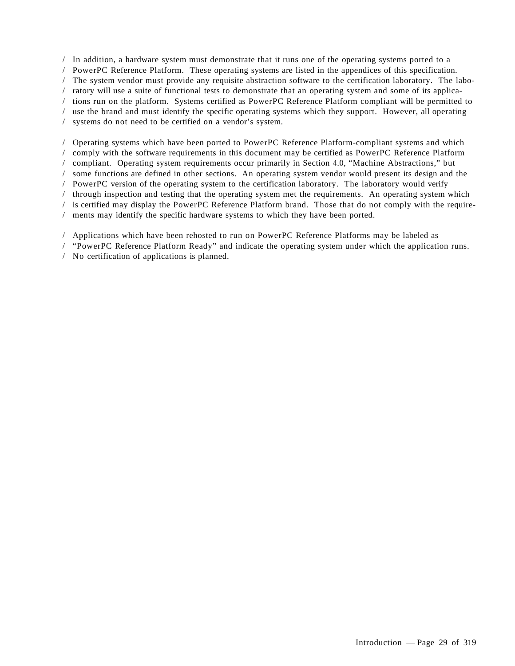/ In addition, a hardware system must demonstrate that it runs one of the operating systems ported to a / PowerPC Reference Platform. These operating systems are listed in the appendices of this specification. / The system vendor must provide any requisite abstraction software to the certification laboratory. The labo- / ratory will use a suite of functional tests to demonstrate that an operating system and some of its applica- / tions run on the platform. Systems certified as PowerPC Reference Platform compliant will be permitted to / use the brand and must identify the specific operating systems which they support. However, all operating / systems do not need to be certified on a vendor's system.

/ Operating systems which have been ported to PowerPC Reference Platform-compliant systems and which / comply with the software requirements in this document may be certified as PowerPC Reference Platform / compliant. Operating system requirements occur primarily in Section 4.0, "Machine Abstractions," but / some functions are defined in other sections. An operating system vendor would present its design and the / PowerPC version of the operating system to the certification laboratory. The laboratory would verify / through inspection and testing that the operating system met the requirements. An operating system which / is certified may display the PowerPC Reference Platform brand. Those that do not comply with the require- / ments may identify the specific hardware systems to which they have been ported.

/ Applications which have been rehosted to run on PowerPC Reference Platforms may be labeled as

/ "PowerPC Reference Platform Ready" and indicate the operating system under which the application runs.

/ No certification of applications is planned.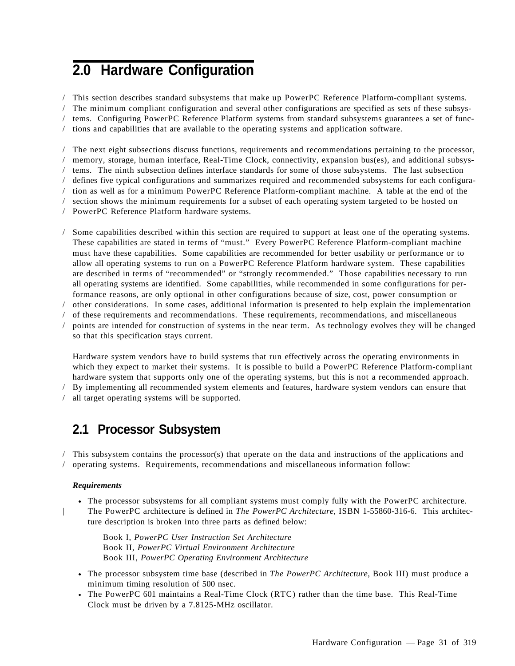# **2.0 Hardware Configuration**

/ This section describes standard subsystems that make up PowerPC Reference Platform-compliant systems. / The minimum compliant configuration and several other configurations are specified as sets of these subsys- / tems. Configuring PowerPC Reference Platform systems from standard subsystems guarantees a set of func- / tions and capabilities that are available to the operating systems and application software.

/ The next eight subsections discuss functions, requirements and recommendations pertaining to the processor, / memory, storage, human interface, Real-Time Clock, connectivity, expansion bus(es), and additional subsys- / tems. The ninth subsection defines interface standards for some of those subsystems. The last subsection / defines five typical configurations and summarizes required and recommended subsystems for each configura- / tion as well as for a minimum PowerPC Reference Platform-compliant machine. A table at the end of the / section shows the minimum requirements for a subset of each operating system targeted to be hosted on / PowerPC Reference Platform hardware systems.

/ Some capabilities described within this section are required to support at least one of the operating systems. These capabilities are stated in terms of "must." Every PowerPC Reference Platform-compliant machine must have these capabilities. Some capabilities are recommended for better usability or performance or to allow all operating systems to run on a PowerPC Reference Platform hardware system. These capabilities are described in terms of "recommended" or "strongly recommended." Those capabilities necessary to run all operating systems are identified. Some capabilities, while recommended in some configurations for performance reasons, are only optional in other configurations because of size, cost, power consumption or

/ other considerations. In some cases, additional information is presented to help explain the implementation

/ of these requirements and recommendations. These requirements, recommendations, and miscellaneous / points are intended for construction of systems in the near term. As technology evolves they will be changed

so that this specification stays current.

Hardware system vendors have to build systems that run effectively across the operating environments in which they expect to market their systems. It is possible to build a PowerPC Reference Platform-compliant hardware system that supports only one of the operating systems, but this is not a recommended approach.

/ By implementing all recommended system elements and features, hardware system vendors can ensure that

/ all target operating systems will be supported.

### **2.1 Processor Subsystem**

/ This subsystem contains the processor(s) that operate on the data and instructions of the applications and / operating systems. Requirements, recommendations and miscellaneous information follow:

#### *Requirements*

- The processor subsystems for all compliant systems must comply fully with the PowerPC architecture. | The PowerPC architecture is defined in *The PowerPC Architecture*, ISBN 1-55860-316-6. This architec
	- ture description is broken into three parts as defined below:

Book I, *PowerPC User Instruction Set Architecture* Book II, *PowerPC Virtual Environment Architecture* Book III, *PowerPC Operating Environment Architecture*

- The processor subsystem time base (described in *The PowerPC Architecture*, Book III) must produce a minimum timing resolution of 500 nsec.
- The PowerPC 601 maintains a Real-Time Clock (RTC) rather than the time base. This Real-Time Clock must be driven by a 7.8125-MHz oscillator.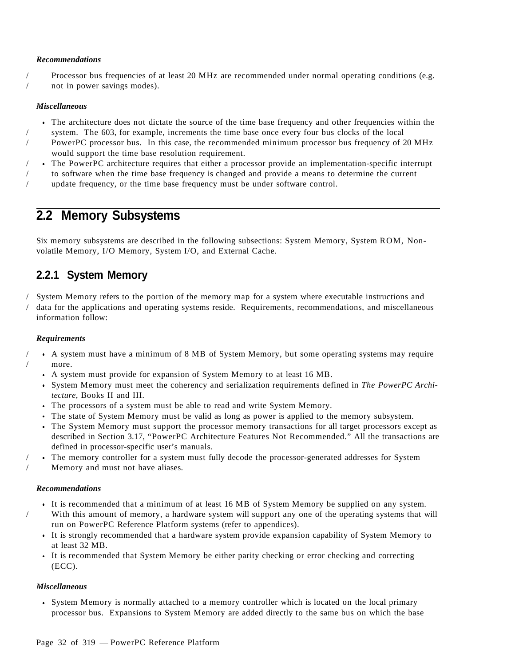#### *Recommendations*

/ Processor bus frequencies of at least 20 MHz are recommended under normal operating conditions (e.g. / not in power savings modes).

#### *Miscellaneous*

- The architecture does not dictate the source of the time base frequency and other frequencies within the / system. The 603, for example, increments the time base once every four bus clocks of the local
- / PowerPC processor bus. In this case, the recommended minimum processor bus frequency of 20 MHz would support the time base resolution requirement.
- / The PowerPC architecture requires that either a processor provide an implementation-specific interrupt
- / to software when the time base frequency is changed and provide a means to determine the current / update frequency, or the time base frequency must be under software control.

### **2.2 Memory Subsystems**

Six memory subsystems are described in the following subsections: System Memory, System ROM, Nonvolatile Memory, I/O Memory, System I/O, and External Cache.

### **2.2.1 System Memory**

/ System Memory refers to the portion of the memory map for a system where executable instructions and / data for the applications and operating systems reside. Requirements, recommendations, and miscellaneous information follow:

#### *Requirements*

- / A system must have a minimum of 8 MB of System Memory, but some operating systems may require more.
	- A system must provide for expansion of System Memory to at least 16 MB.
	- System Memory must meet the coherency and serialization requirements defined in *The PowerPC Architecture*, Books II and III.
	- The processors of a system must be able to read and write System Memory.
	- The state of System Memory must be valid as long as power is applied to the memory subsystem.
	- The System Memory must support the processor memory transactions for all target processors except as described in Section 3.17, "PowerPC Architecture Features Not Recommended." All the transactions are defined in processor-specific user's manuals.
- / The memory controller for a system must fully decode the processor-generated addresses for System / Memory and must not have aliases.

#### *Recommendations*

- It is recommended that a minimum of at least 16 MB of System Memory be supplied on any system. / With this amount of memory, a hardware system will support any one of the operating systems that will run on PowerPC Reference Platform systems (refer to appendices).
	- It is strongly recommended that a hardware system provide expansion capability of System Memory to at least 32 MB.
	- It is recommended that System Memory be either parity checking or error checking and correcting (ECC).

#### *Miscellaneous*

System Memory is normally attached to a memory controller which is located on the local primary processor bus. Expansions to System Memory are added directly to the same bus on which the base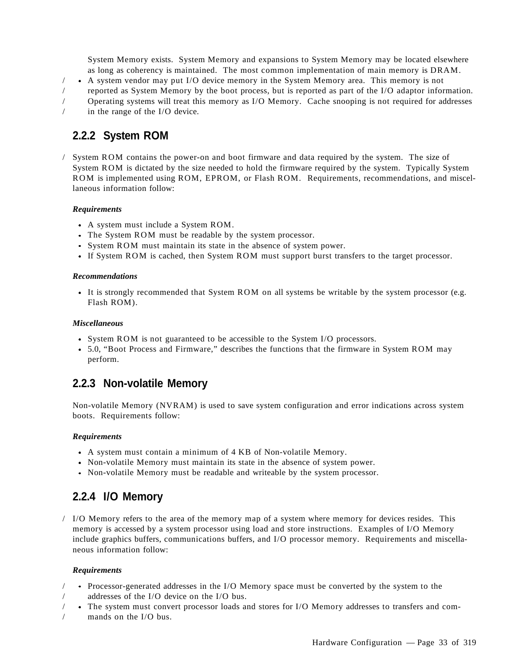System Memory exists. System Memory and expansions to System Memory may be located elsewhere as long as coherency is maintained. The most common implementation of main memory is DRAM.

 $\land$  A system vendor may put I/O device memory in the System Memory area. This memory is not

- / reported as System Memory by the boot process, but is reported as part of the I/O adaptor information.
- / Operating systems will treat this memory as I/O Memory. Cache snooping is not required for addresses in the range of the I/O device.

# **2.2.2 System ROM**

/ System ROM contains the power-on and boot firmware and data required by the system. The size of System ROM is dictated by the size needed to hold the firmware required by the system. Typically System ROM is implemented using ROM, EPROM, or Flash ROM. Requirements, recommendations, and miscellaneous information follow:

#### *Requirements*

- A system must include a System ROM.
- The System ROM must be readable by the system processor.
- System ROM must maintain its state in the absence of system power.
- If System ROM is cached, then System ROM must support burst transfers to the target processor.

#### *Recommendations*

It is strongly recommended that System ROM on all systems be writable by the system processor (e.g. Flash ROM).

#### *Miscellaneous*

- System ROM is not guaranteed to be accessible to the System I/O processors.
- 5.0, "Boot Process and Firmware," describes the functions that the firmware in System ROM may perform.

### **2.2.3 Non-volatile Memory**

Non-volatile Memory (NVRAM) is used to save system configuration and error indications across system boots. Requirements follow:

#### *Requirements*

- A system must contain a minimum of 4 KB of Non-volatile Memory.
- Non-volatile Memory must maintain its state in the absence of system power.
- Non-volatile Memory must be readable and writeable by the system processor.

### **2.2.4 I/O Memory**

/ I/O Memory refers to the area of the memory map of a system where memory for devices resides. This memory is accessed by a system processor using load and store instructions. Examples of I/O Memory include graphics buffers, communications buffers, and I/O processor memory. Requirements and miscellaneous information follow:

#### *Requirements*

- / Processor-generated addresses in the I/O Memory space must be converted by the system to the / addresses of the I/O device on the I/O bus.
- / The system must convert processor loads and stores for I/O Memory addresses to transfers and com-
- mands on the  $I/O$  bus.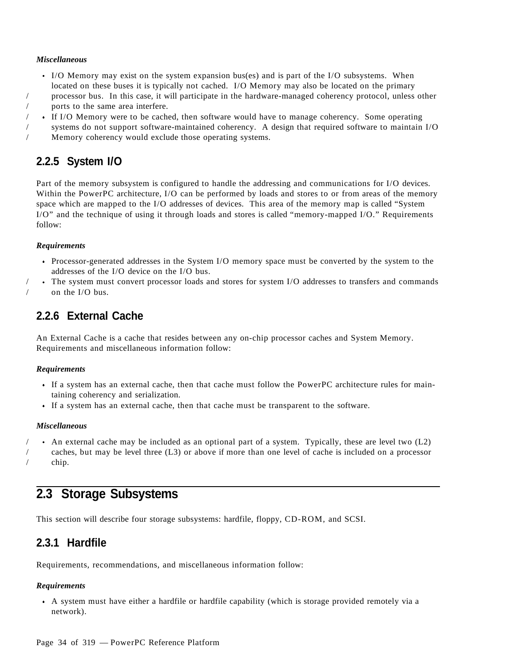#### *Miscellaneous*

- I/O Memory may exist on the system expansion bus(es) and is part of the I/O subsystems. When located on these buses it is typically not cached. I/O Memory may also be located on the primary / processor bus. In this case, it will participate in the hardware-managed coherency protocol, unless other
- / ports to the same area interfere.
- If I/O Memory were to be cached, then software would have to manage coherency. Some operating
- / systems do not support software-maintained coherency. A design that required software to maintain I/O / Memory coherency would exclude those operating systems.

### **2.2.5 System I/O**

Part of the memory subsystem is configured to handle the addressing and communications for I/O devices. Within the PowerPC architecture, I/O can be performed by loads and stores to or from areas of the memory space which are mapped to the I/O addresses of devices. This area of the memory map is called "System I/O" and the technique of using it through loads and stores is called "memory-mapped I/O." Requirements follow:

#### *Requirements*

- Processor-generated addresses in the System I/O memory space must be converted by the system to the addresses of the I/O device on the I/O bus.
- / The system must convert processor loads and stores for system I/O addresses to transfers and commands on the I/O bus.

### **2.2.6 External Cache**

An External Cache is a cache that resides between any on-chip processor caches and System Memory. Requirements and miscellaneous information follow:

#### *Requirements*

- If a system has an external cache, then that cache must follow the PowerPC architecture rules for maintaining coherency and serialization.
- If a system has an external cache, then that cache must be transparent to the software.

#### *Miscellaneous*

/ An external cache may be included as an optional part of a system. Typically, these are level two (L2) / caches, but may be level three (L3) or above if more than one level of cache is included on a processor / chip.

### **2.3 Storage Subsystems**

This section will describe four storage subsystems: hardfile, floppy, CD-ROM, and SCSI.

### **2.3.1 Hardfile**

Requirements, recommendations, and miscellaneous information follow:

#### *Requirements*

A system must have either a hardfile or hardfile capability (which is storage provided remotely via a network).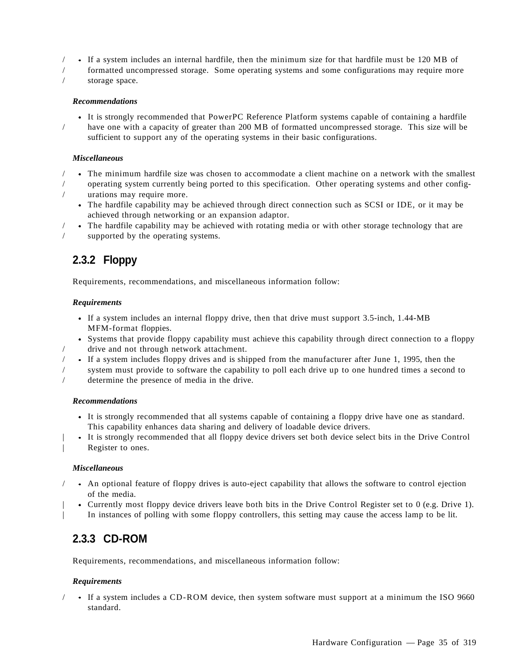- / If a system includes an internal hardfile, then the minimum size for that hardfile must be 120 MB of
- / formatted uncompressed storage. Some operating systems and some configurations may require more
- storage space.

#### *Recommendations*

It is strongly recommended that PowerPC Reference Platform systems capable of containing a hardfile / have one with a capacity of greater than 200 MB of formatted uncompressed storage. This size will be sufficient to support any of the operating systems in their basic configurations.

#### *Miscellaneous*

- / The minimum hardfile size was chosen to accommodate a client machine on a network with the smallest / operating system currently being ported to this specification. Other operating systems and other config urations may require more.
	- The hardfile capability may be achieved through direct connection such as SCSI or IDE, or it may be achieved through networking or an expansion adaptor.
- / The hardfile capability may be achieved with rotating media or with other storage technology that are supported by the operating systems.

### **2.3.2 Floppy**

Requirements, recommendations, and miscellaneous information follow:

#### *Requirements*

- If a system includes an internal floppy drive, then that drive must support 3.5-inch, 1.44-MB MFM-format floppies.
- Systems that provide floppy capability must achieve this capability through direct connection to a floppy / drive and not through network attachment.
- / If a system includes floppy drives and is shipped from the manufacturer after June 1, 1995, then the
- / system must provide to software the capability to poll each drive up to one hundred times a second to determine the presence of media in the drive.

#### *Recommendations*

- It is strongly recommended that all systems capable of containing a floppy drive have one as standard. This capability enhances data sharing and delivery of loadable device drivers.
- | It is strongly recommended that all floppy device drivers set both device select bits in the Drive Control | Register to ones.

#### *Miscellaneous*

- / An optional feature of floppy drives is auto-eject capability that allows the software to control ejection of the media.
- | Currently most floppy device drivers leave both bits in the Drive Control Register set to 0 (e.g. Drive 1). | In instances of polling with some floppy controllers, this setting may cause the access lamp to be lit.

### **2.3.3 CD-ROM**

Requirements, recommendations, and miscellaneous information follow:

#### *Requirements*

/ If a system includes a CD-ROM device, then system software must support at a minimum the ISO 9660 standard.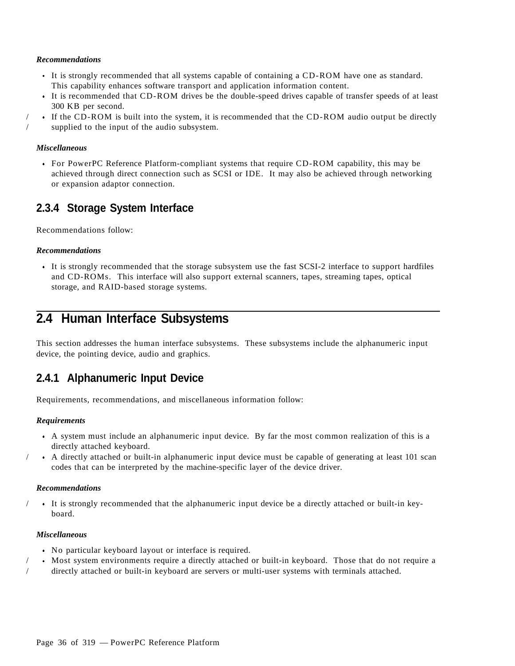#### *Recommendations*

- It is strongly recommended that all systems capable of containing a CD-ROM have one as standard. This capability enhances software transport and application information content.
- It is recommended that CD-ROM drives be the double-speed drives capable of transfer speeds of at least 300 KB per second.
- / If the CD-ROM is built into the system, it is recommended that the CD-ROM audio output be directly / supplied to the input of the audio subsystem.

#### *Miscellaneous*

For PowerPC Reference Platform-compliant systems that require CD-ROM capability, this may be achieved through direct connection such as SCSI or IDE. It may also be achieved through networking or expansion adaptor connection.

### **2.3.4 Storage System Interface**

Recommendations follow:

#### *Recommendations*

It is strongly recommended that the storage subsystem use the fast SCSI-2 interface to support hardfiles and CD-ROMs. This interface will also support external scanners, tapes, streaming tapes, optical storage, and RAID-based storage systems.

## **2.4 Human Interface Subsystems**

This section addresses the human interface subsystems. These subsystems include the alphanumeric input device, the pointing device, audio and graphics.

### **2.4.1 Alphanumeric Input Device**

Requirements, recommendations, and miscellaneous information follow:

#### *Requirements*

- A system must include an alphanumeric input device. By far the most common realization of this is a directly attached keyboard.
- / A directly attached or built-in alphanumeric input device must be capable of generating at least 101 scan codes that can be interpreted by the machine-specific layer of the device driver.

#### *Recommendations*

/ It is strongly recommended that the alphanumeric input device be a directly attached or built-in keyboard.

#### *Miscellaneous*

- No particular keyboard layout or interface is required.
- / Most system environments require a directly attached or built-in keyboard. Those that do not require a
- / directly attached or built-in keyboard are servers or multi-user systems with terminals attached.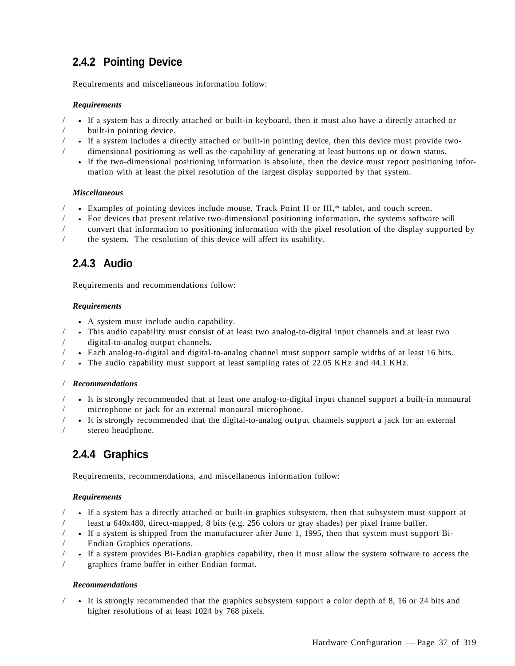## **2.4.2 Pointing Device**

Requirements and miscellaneous information follow:

#### *Requirements*

- / If a system has a directly attached or built-in keyboard, then it must also have a directly attached or
	- built-in pointing device.
- / If a system includes a directly attached or built-in pointing device, then this device must provide two dimensional positioning as well as the capability of generating at least buttons up or down status.
	- If the two-dimensional positioning information is absolute, then the device must report positioning information with at least the pixel resolution of the largest display supported by that system.

#### *Miscellaneous*

- / Examples of pointing devices include mouse, Track Point II or III,\* tablet, and touch screen.
- / For devices that present relative two-dimensional positioning information, the systems software will
- / convert that information to positioning information with the pixel resolution of the display supported by
- / the system. The resolution of this device will affect its usability.

## **2.4.3 Audio**

Requirements and recommendations follow:

#### *Requirements*

- A system must include audio capability.
- / This audio capability must consist of at least two analog-to-digital input channels and at least two digital-to-analog output channels.
- / Each analog-to-digital and digital-to-analog channel must support sample widths of at least 16 bits.
- / The audio capability must support at least sampling rates of 22.05 KHz and 44.1 KHz.

#### / *Recommendations*

- / It is strongly recommended that at least one analog-to-digital input channel support a built-in monaural / microphone or jack for an external monaural microphone.
- / It is strongly recommended that the digital-to-analog output channels support a jack for an external stereo headphone.

# **2.4.4 Graphics**

Requirements, recommendations, and miscellaneous information follow:

#### *Requirements*

- / If a system has a directly attached or built-in graphics subsystem, then that subsystem must support at / least a 640x480, direct-mapped, 8 bits (e.g. 256 colors or gray shades) per pixel frame buffer.
- / If a system is shipped from the manufacturer after June 1, 1995, then that system must support Bi- / Endian Graphics operations.
- / If a system provides Bi-Endian graphics capability, then it must allow the system software to access the graphics frame buffer in either Endian format.

#### *Recommendations*

/ It is strongly recommended that the graphics subsystem support a color depth of 8, 16 or 24 bits and higher resolutions of at least 1024 by 768 pixels.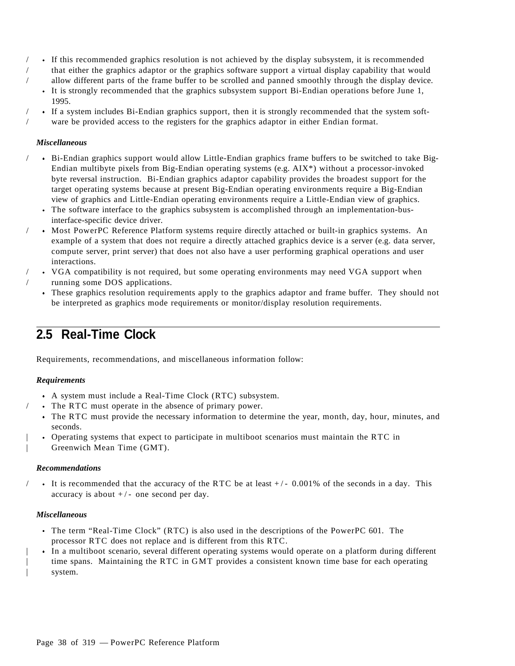- / If this recommended graphics resolution is not achieved by the display subsystem, it is recommended / that either the graphics adaptor or the graphics software support a virtual display capability that would / allow different parts of the frame buffer to be scrolled and panned smoothly through the display device.
	- It is strongly recommended that the graphics subsystem support Bi-Endian operations before June 1, 1995.
- / If a system includes Bi-Endian graphics support, then it is strongly recommended that the system soft ware be provided access to the registers for the graphics adaptor in either Endian format.

#### *Miscellaneous*

- / Bi-Endian graphics support would allow Little-Endian graphics frame buffers to be switched to take Big-Endian multibyte pixels from Big-Endian operating systems (e.g.  $AIX^*$ ) without a processor-invoked byte reversal instruction. Bi-Endian graphics adaptor capability provides the broadest support for the target operating systems because at present Big-Endian operating environments require a Big-Endian view of graphics and Little-Endian operating environments require a Little-Endian view of graphics.
	- The software interface to the graphics subsystem is accomplished through an implementation-businterface-specific device driver.
- / Most PowerPC Reference Platform systems require directly attached or built-in graphics systems. An example of a system that does not require a directly attached graphics device is a server (e.g. data server, compute server, print server) that does not also have a user performing graphical operations and user interactions.
- / VGA compatibility is not required, but some operating environments may need VGA support when running some DOS applications.
	- These graphics resolution requirements apply to the graphics adaptor and frame buffer. They should not be interpreted as graphics mode requirements or monitor/display resolution requirements.

## **2.5 Real-Time Clock**

Requirements, recommendations, and miscellaneous information follow:

#### *Requirements*

- A system must include a Real-Time Clock (RTC) subsystem.
- The RTC must operate in the absence of primary power.
- The RTC must provide the necessary information to determine the year, month, day, hour, minutes, and seconds.
- | Operating systems that expect to participate in multiboot scenarios must maintain the RTC in | Greenwich Mean Time (GMT).

#### *Recommendations*

It is recommended that the accuracy of the RTC be at least  $+/- 0.001\%$  of the seconds in a day. This accuracy is about  $+/-$  one second per day.

#### *Miscellaneous*

- The term "Real-Time Clock" (RTC) is also used in the descriptions of the PowerPC 601. The processor RTC does not replace and is different from this RTC.
- | In a multiboot scenario, several different operating systems would operate on a platform during different time spans. Maintaining the RTC in GMT provides a consistent known time base for each operating | system.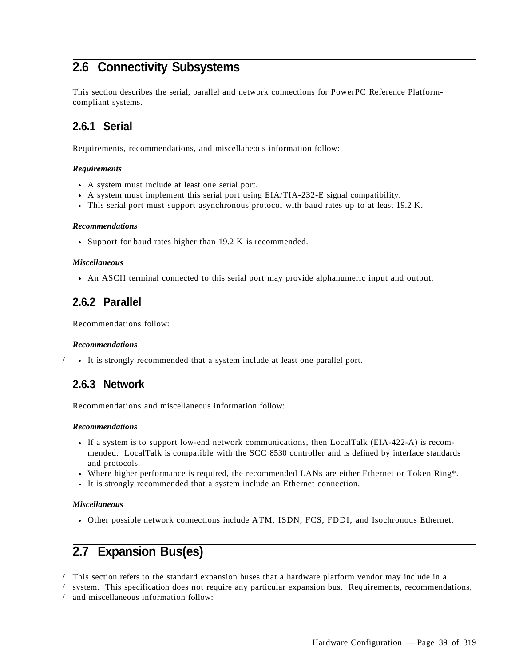# **2.6 Connectivity Subsystems**

This section describes the serial, parallel and network connections for PowerPC Reference Platformcompliant systems.

### **2.6.1 Serial**

Requirements, recommendations, and miscellaneous information follow:

#### *Requirements*

- A system must include at least one serial port.
- A system must implement this serial port using EIA/TIA-232-E signal compatibility.
- This serial port must support asynchronous protocol with baud rates up to at least 19.2 K.

#### *Recommendations*

• Support for baud rates higher than 19.2 K is recommended.

#### *Miscellaneous*

An ASCII terminal connected to this serial port may provide alphanumeric input and output.

### **2.6.2 Parallel**

Recommendations follow:

#### *Recommendations*

/ It is strongly recommended that a system include at least one parallel port.

### **2.6.3 Network**

Recommendations and miscellaneous information follow:

#### *Recommendations*

- If a system is to support low-end network communications, then LocalTalk (EIA-422-A) is recommended. LocalTalk is compatible with the SCC 8530 controller and is defined by interface standards and protocols.
- Where higher performance is required, the recommended LANs are either Ethernet or Token Ring\*.
- It is strongly recommended that a system include an Ethernet connection.

#### *Miscellaneous*

Other possible network connections include ATM, ISDN, FCS, FDDI, and Isochronous Ethernet.

# **2.7 Expansion Bus(es)**

/ This section refers to the standard expansion buses that a hardware platform vendor may include in a

/ system. This specification does not require any particular expansion bus. Requirements, recommendations,

/ and miscellaneous information follow: